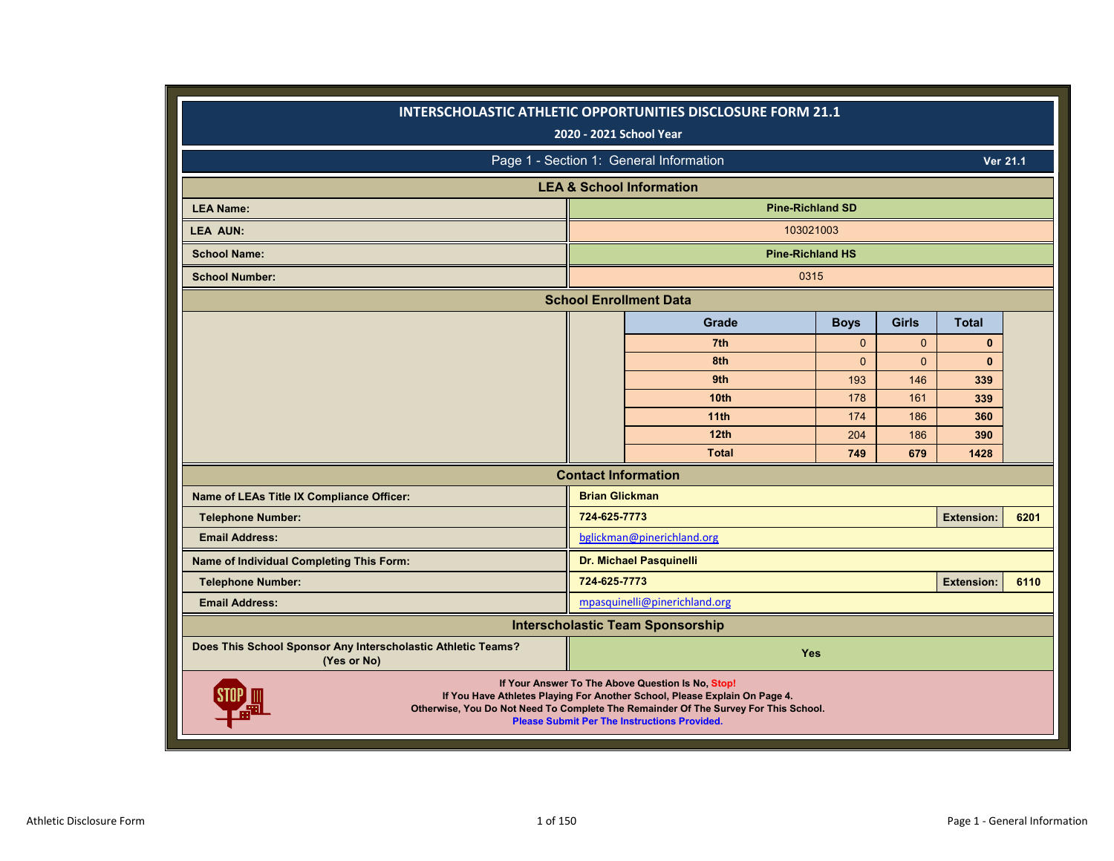|                                                                             |                       | INTERSCHOLASTIC ATHLETIC OPPORTUNITIES DISCLOSURE FORM 21.1<br>2020 - 2021 School Year                                                                                                                                                                                        |                |              |                   |      |
|-----------------------------------------------------------------------------|-----------------------|-------------------------------------------------------------------------------------------------------------------------------------------------------------------------------------------------------------------------------------------------------------------------------|----------------|--------------|-------------------|------|
|                                                                             |                       | Page 1 - Section 1: General Information                                                                                                                                                                                                                                       |                |              | Ver 21.1          |      |
|                                                                             |                       | <b>LEA &amp; School Information</b>                                                                                                                                                                                                                                           |                |              |                   |      |
| <b>LEA Name:</b>                                                            |                       | <b>Pine-Richland SD</b>                                                                                                                                                                                                                                                       |                |              |                   |      |
| <b>LEA AUN:</b>                                                             |                       | 103021003                                                                                                                                                                                                                                                                     |                |              |                   |      |
| <b>School Name:</b>                                                         |                       | <b>Pine-Richland HS</b>                                                                                                                                                                                                                                                       |                |              |                   |      |
| <b>School Number:</b>                                                       |                       | 0315                                                                                                                                                                                                                                                                          |                |              |                   |      |
|                                                                             |                       | <b>School Enrollment Data</b>                                                                                                                                                                                                                                                 |                |              |                   |      |
|                                                                             |                       | Grade                                                                                                                                                                                                                                                                         | <b>Boys</b>    | <b>Girls</b> | <b>Total</b>      |      |
|                                                                             |                       | 7th                                                                                                                                                                                                                                                                           | $\mathbf{0}$   | $\Omega$     | $\bf{0}$          |      |
|                                                                             |                       | 8th                                                                                                                                                                                                                                                                           | $\overline{0}$ | $\Omega$     | $\bf{0}$          |      |
|                                                                             |                       | 9th                                                                                                                                                                                                                                                                           | 193            | 146          | 339               |      |
|                                                                             |                       | 10 <sub>th</sub>                                                                                                                                                                                                                                                              | 178            | 161          | 339               |      |
|                                                                             |                       | 11 <sub>th</sub>                                                                                                                                                                                                                                                              | 174            | 186          | 360               |      |
|                                                                             |                       | 12 <sub>th</sub>                                                                                                                                                                                                                                                              | 204            | 186          | 390               |      |
|                                                                             |                       | <b>Total</b>                                                                                                                                                                                                                                                                  | 749            | 679          | 1428              |      |
|                                                                             |                       | <b>Contact Information</b>                                                                                                                                                                                                                                                    |                |              |                   |      |
| Name of LEAs Title IX Compliance Officer:                                   | <b>Brian Glickman</b> |                                                                                                                                                                                                                                                                               |                |              |                   |      |
| <b>Telephone Number:</b>                                                    | 724-625-7773          |                                                                                                                                                                                                                                                                               |                |              | <b>Extension:</b> | 6201 |
| <b>Email Address:</b>                                                       |                       | bglickman@pinerichland.org                                                                                                                                                                                                                                                    |                |              |                   |      |
| Name of Individual Completing This Form:                                    |                       | <b>Dr. Michael Pasquinelli</b>                                                                                                                                                                                                                                                |                |              |                   |      |
| <b>Telephone Number:</b>                                                    | 724-625-7773          |                                                                                                                                                                                                                                                                               |                |              | <b>Extension:</b> | 6110 |
| <b>Email Address:</b>                                                       |                       | mpasquinelli@pinerichland.org                                                                                                                                                                                                                                                 |                |              |                   |      |
|                                                                             |                       | <b>Interscholastic Team Sponsorship</b>                                                                                                                                                                                                                                       |                |              |                   |      |
| Does This School Sponsor Any Interscholastic Athletic Teams?<br>(Yes or No) |                       | Yes                                                                                                                                                                                                                                                                           |                |              |                   |      |
|                                                                             |                       | If Your Answer To The Above Question Is No, Stop!<br>If You Have Athletes Playing For Another School, Please Explain On Page 4.<br>Otherwise, You Do Not Need To Complete The Remainder Of The Survey For This School.<br><b>Please Submit Per The Instructions Provided.</b> |                |              |                   |      |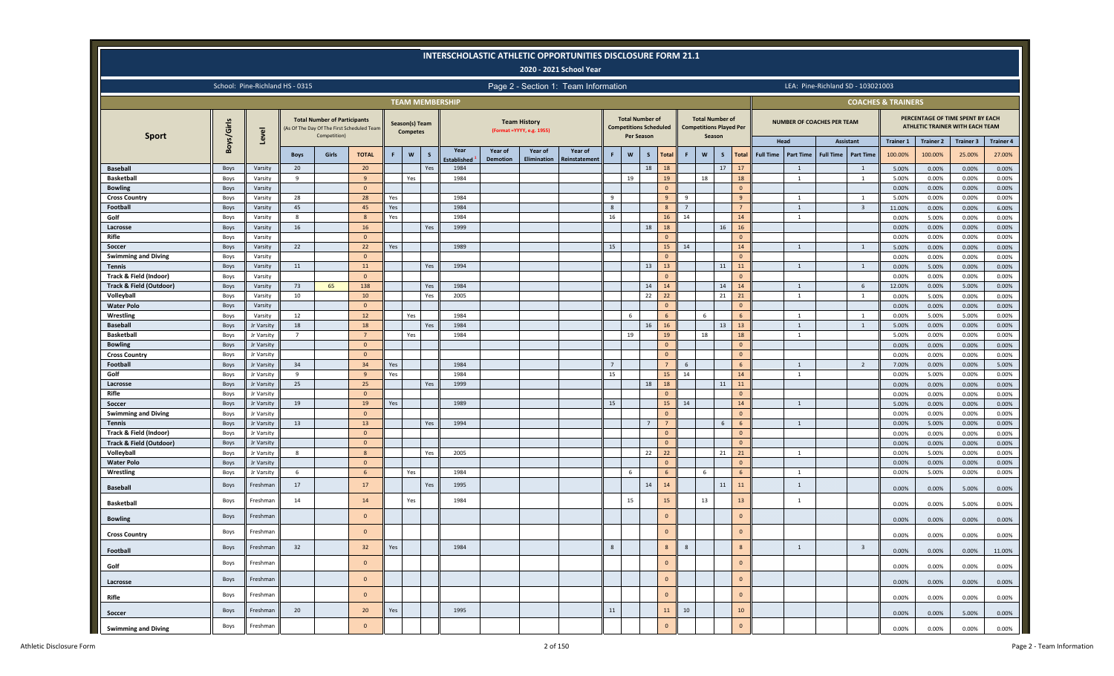|                                        |              |                          |                                 |                                                     |                                           |     |                                   |     |                        |                 |                                                  | <b>INTERSCHOLASTIC ATHLETIC OPPORTUNITIES DISCLOSURE FORM 21.1</b><br>2020 - 2021 School Year |              |                                                                                                            |                |                |                |              |                                                          |                 |                  |                                |                                   |                                   |                               |                  |                                                                     |                      |
|----------------------------------------|--------------|--------------------------|---------------------------------|-----------------------------------------------------|-------------------------------------------|-----|-----------------------------------|-----|------------------------|-----------------|--------------------------------------------------|-----------------------------------------------------------------------------------------------|--------------|------------------------------------------------------------------------------------------------------------|----------------|----------------|----------------|--------------|----------------------------------------------------------|-----------------|------------------|--------------------------------|-----------------------------------|-----------------------------------|-------------------------------|------------------|---------------------------------------------------------------------|----------------------|
|                                        |              |                          | School: Pine-Richland HS - 0315 |                                                     |                                           |     |                                   |     |                        |                 |                                                  | Page 2 - Section 1: Team Information                                                          |              |                                                                                                            |                |                |                |              |                                                          |                 |                  |                                |                                   | LEA: Pine-Richland SD - 103021003 |                               |                  |                                                                     |                      |
|                                        |              |                          |                                 |                                                     |                                           |     |                                   |     | <b>TEAM MEMBERSHIP</b> |                 |                                                  |                                                                                               |              |                                                                                                            |                |                |                |              |                                                          |                 |                  |                                |                                   |                                   | <b>COACHES &amp; TRAINERS</b> |                  |                                                                     |                      |
| <b>Sport</b>                           | Boys/Girls   | Level                    |                                 | <b>Total Number of Participants</b><br>Competition) | As Of The Day Of The First Scheduled Team |     | Season(s) Team<br><b>Competes</b> |     |                        |                 | <b>Team History</b><br>(Format =YYYY, e.g. 1955) |                                                                                               |              | <b>Total Number of</b><br><b>Competitions Scheduled</b><br>Per Season                                      |                |                |                | Season       | <b>Total Number of</b><br><b>Competitions Played Per</b> |                 |                  |                                | <b>NUMBER OF COACHES PER TEAM</b> |                                   |                               |                  | PERCENTAGE OF TIME SPENT BY EACH<br>ATHLETIC TRAINER WITH EACH TEAM |                      |
|                                        |              |                          |                                 |                                                     |                                           |     |                                   |     | Year                   | Year of         | Year of                                          | Year of                                                                                       |              |                                                                                                            |                |                |                |              |                                                          |                 | Head             |                                |                                   | <b>Assistant</b>                  | <b>Trainer 1</b>              | <b>Trainer 2</b> | Trainer 3                                                           | <b>Trainer 4</b>     |
|                                        |              |                          | <b>Boys</b>                     | Girls                                               | <b>TOTAL</b>                              | F.  | $\mathsf{w}$                      | S   | <b>Established</b>     | <b>Demotion</b> | Elimination                                      | Reinstatement                                                                                 | F            | $\mathsf{W}% _{T}=\mathsf{W}_{T}\!\left( a,b\right) ,\ \mathsf{W}_{T}=\mathsf{W}_{T}\!\left( a,b\right) ,$ | $\mathsf{s}$   | <b>Total</b>   | F.             | $\mathbf{w}$ | $\mathsf{s}$                                             | <b>Total</b>    | <b>Full Time</b> | <b>Part Time</b>               | <b>Full Time</b>                  | <b>Part Time</b>                  | 100.00%                       | 100.00%          | 25.00%                                                              | 27.00%               |
| <b>Baseball</b>                        | Boys         | Varsity                  | 20                              |                                                     | 20                                        |     |                                   | Yes | 1984                   |                 |                                                  |                                                                                               |              |                                                                                                            | 18             | 18             |                |              | 17                                                       | 17              |                  | $\mathbf{1}$                   |                                   | 1                                 | 5.00%                         | 0.00%            | 0.00%                                                               | 0.00%                |
| <b>Basketball</b>                      | Boys         | Varsity                  | 9                               |                                                     | $\overline{9}$<br>$\overline{0}$          |     | Yes                               |     | 1984                   |                 |                                                  |                                                                                               |              | 19                                                                                                         |                | 19<br>$\Omega$ |                | 18           |                                                          | 18<br>$\Omega$  |                  | 1                              |                                   | $\mathbf{1}$                      | 5.00%                         | 0.00%            | 0.00%                                                               | 0.00%                |
| <b>Bowling</b><br><b>Cross Country</b> | Boys<br>Boys | Varsity<br>Varsity       | 28                              |                                                     | 28                                        | Yes |                                   |     | 1984                   |                 |                                                  |                                                                                               | $\mathbf{q}$ |                                                                                                            |                | $\mathbf{q}$   | 9              |              |                                                          | $\mathbf{q}$    |                  | 1                              |                                   | $\overline{1}$                    | 0.00%<br>5.00%                | 0.00%<br>0.00%   | 0.00%<br>0.00%                                                      | 0.00%<br>0.00%       |
| Football                               | Boys         | Varsity                  | 45                              |                                                     | 45                                        | Yes |                                   |     | 1984                   |                 |                                                  |                                                                                               | 8            |                                                                                                            |                |                | $\overline{7}$ |              |                                                          |                 |                  | $\mathbf{1}$                   |                                   | $\overline{\mathbf{3}}$           | 11.00%                        | 0.00%            | 0.00%                                                               | 6.00%                |
| Golf                                   | Boys         | Varsity                  | 8                               |                                                     | 8                                         | Yes |                                   |     | 1984                   |                 |                                                  |                                                                                               | 16           |                                                                                                            |                | 16             | 14             |              |                                                          | 14              |                  | $\mathbf{1}$                   |                                   |                                   | 0.00%                         | 5.00%            | 0.00%                                                               | 0.00%                |
| Lacrosse                               | Boys         | Varsity                  | 16                              |                                                     | 16                                        |     |                                   | Yes | 1999                   |                 |                                                  |                                                                                               |              |                                                                                                            | 18             | 18             |                |              | 16                                                       | 16              |                  |                                |                                   |                                   | 0.00%                         | 0.00%            | 0.00%                                                               | 0.00%                |
| Rifle                                  | Boys         | Varsity                  |                                 |                                                     | $\overline{0}$                            |     |                                   |     |                        |                 |                                                  |                                                                                               |              |                                                                                                            |                | $\Omega$       |                |              |                                                          | $\Omega$        |                  |                                |                                   |                                   | 0.00%                         | 0.00%            | 0.00%                                                               | 0.00%                |
| Soccer                                 | Boys         | Varsity                  | 22                              |                                                     | 22                                        | Yes |                                   |     | 1989                   |                 |                                                  |                                                                                               | 15           |                                                                                                            |                | 15             | 14             |              |                                                          | 14              |                  | $\mathbf{1}$                   |                                   | $\mathbf{1}$                      | 5.00%                         | 0.00%            | 0.00%                                                               | 0.00%                |
| <b>Swimming and Diving</b>             | Boys         | Varsity                  |                                 |                                                     | $\overline{0}$                            |     |                                   |     |                        |                 |                                                  |                                                                                               |              |                                                                                                            |                | $\Omega$       |                |              |                                                          | $\mathbf{0}$    |                  |                                |                                   |                                   | 0.00%                         | 0.00%            | 0.00%                                                               | 0.00%                |
| <b>Tennis</b>                          | Boys         | Varsity                  | 11                              |                                                     | 11                                        |     |                                   | Yes | 1994                   |                 |                                                  |                                                                                               |              |                                                                                                            | 13             | 13             |                |              | 11                                                       | 11              |                  | 1                              |                                   | 1                                 | 0.00%                         | 5.00%            | 0.00%                                                               | 0.00%                |
| Track & Field (Indoor)                 | Boys         | Varsity                  |                                 |                                                     | $\overline{0}$                            |     |                                   |     |                        |                 |                                                  |                                                                                               |              |                                                                                                            |                | $\Omega$       |                |              |                                                          | $\Omega$        |                  |                                |                                   |                                   | 0.00%                         | 0.00%            | 0.00%                                                               | 0.00%                |
| <b>Track &amp; Field (Outdoor)</b>     | Boys         | Varsity                  | 73                              | 65                                                  | 138                                       |     |                                   | Yes | 1984                   |                 |                                                  |                                                                                               |              |                                                                                                            | 14             | 14             |                |              | 14                                                       | 14              |                  | 1                              |                                   | 6                                 | 12.00%                        | 0.00%            | 5.00%                                                               | 0.00%                |
| Volleyball                             | Boys         | Varsity                  | 10                              |                                                     | 10                                        |     |                                   | Yes | 2005                   |                 |                                                  |                                                                                               |              |                                                                                                            | 22             | 22             |                |              | 21                                                       | 21              |                  | 1                              |                                   | 1                                 | 0.00%                         | 5.00%            | 0.00%                                                               | 0.00%                |
| <b>Water Polo</b>                      | Boys         | Varsity                  |                                 |                                                     | $\overline{0}$                            |     |                                   |     |                        |                 |                                                  |                                                                                               |              |                                                                                                            |                | $\Omega$       |                |              |                                                          | $\mathbf{0}$    |                  |                                |                                   |                                   | 0.00%                         | 0.00%            | 0.00%                                                               | 0.00%                |
| Wrestling                              | Boys         | Varsity                  | 12                              |                                                     | 12                                        |     | Yes                               |     | 1984                   |                 |                                                  |                                                                                               |              | 6                                                                                                          |                | -6             |                | 6            |                                                          | -6              |                  | 1                              |                                   | $\mathbf{1}$                      | 0.00%                         | 5.00%            | 5.00%                                                               | 0.00%                |
| <b>Baseball</b>                        | Boys         | Jr Varsity               | 18                              |                                                     | 18                                        |     |                                   | Yes | 1984                   |                 |                                                  |                                                                                               |              |                                                                                                            | 16             | 16             |                |              | 13                                                       | 13              |                  | $\mathbf{1}$                   |                                   | $\mathbf{1}$                      | 5.00%                         | 0.00%            | 0.00%                                                               | 0.00%                |
| <b>Basketball</b>                      | Boys         | Jr Varsity               | $\overline{7}$                  |                                                     | $\overline{7}$                            |     | Yes                               |     | 1984                   |                 |                                                  |                                                                                               |              | 19                                                                                                         |                | 19             |                | 18           |                                                          | 18              |                  | $\mathbf{1}$                   |                                   |                                   | 5.00%                         | 0.00%            | 0.00%                                                               | 0.00%                |
| <b>Bowling</b>                         | Boys         | Jr Varsity               |                                 |                                                     | $\overline{0}$                            |     |                                   |     |                        |                 |                                                  |                                                                                               |              |                                                                                                            |                | $\Omega$       |                |              |                                                          | $\mathbf{0}$    |                  |                                |                                   |                                   | 0.00%                         | 0.00%            | 0.00%                                                               | 0.00%                |
| <b>Cross Country</b>                   | Boys         | Jr Varsity               |                                 |                                                     | $\overline{0}$                            |     |                                   |     |                        |                 |                                                  |                                                                                               |              |                                                                                                            |                | $\Omega$       |                |              |                                                          | $\Omega$        |                  |                                |                                   |                                   | 0.00%                         | 0.00%            | 0.00%                                                               | 0.00%                |
| Football<br>Golf                       | Boys         | Jr Varsity               | 34<br>9                         |                                                     | 34<br>9                                   | Yes |                                   |     | 1984<br>1984           |                 |                                                  |                                                                                               | 15           |                                                                                                            |                | 15             | 6<br>14        |              |                                                          | 14              |                  | $\mathbf{1}$<br>$\overline{1}$ |                                   | $\overline{2}$                    | 7.00%                         | 0.00%            | 0.00%                                                               | 5.00%                |
| Lacrosse                               | Boys<br>Boys | Jr Varsity<br>Jr Varsity | 25                              |                                                     | 25                                        | Yes |                                   | Yes | 1999                   |                 |                                                  |                                                                                               |              |                                                                                                            | 18             | 18             |                |              | 11                                                       | 11              |                  |                                |                                   |                                   | 0.00%<br>0.00%                | 5.00%<br>0.00%   | 0.00%<br>0.00%                                                      | $0.00\%$<br>$0.00\%$ |
| Rifle                                  | Boys         | Jr Varsity               |                                 |                                                     | $\overline{0}$                            |     |                                   |     |                        |                 |                                                  |                                                                                               |              |                                                                                                            |                | $\Omega$       |                |              |                                                          | $\Omega$        |                  |                                |                                   |                                   | 0.00%                         | 0.00%            | 0.00%                                                               | 0.00%                |
| Soccer                                 | Boys         | Jr Varsity               | 19                              |                                                     | 19                                        | Yes |                                   |     | 1989                   |                 |                                                  |                                                                                               | 15           |                                                                                                            |                | 15             | 14             |              |                                                          | 14              |                  | 1                              |                                   |                                   | 5.00%                         | 0.00%            | 0.00%                                                               | 0.00%                |
| <b>Swimming and Diving</b>             | Boys         | Jr Varsity               |                                 |                                                     | $\overline{0}$                            |     |                                   |     |                        |                 |                                                  |                                                                                               |              |                                                                                                            |                | $\Omega$       |                |              |                                                          | $\Omega$        |                  |                                |                                   |                                   | 0.00%                         | 0.00%            | 0.00%                                                               | 0.00%                |
| <b>Tennis</b>                          | Boys         | Jr Varsity               | 13                              |                                                     | 13                                        |     |                                   | Yes | 1994                   |                 |                                                  |                                                                                               |              |                                                                                                            | $\overline{7}$ | $\overline{7}$ |                |              | 6                                                        |                 |                  | $\overline{1}$                 |                                   |                                   | 0.00%                         | 5.00%            | 0.00%                                                               | 0.00%                |
| <b>Track &amp; Field (Indoor)</b>      | Boys         | Jr Varsity               |                                 |                                                     | $\mathbf{0}$                              |     |                                   |     |                        |                 |                                                  |                                                                                               |              |                                                                                                            |                | $\overline{0}$ |                |              |                                                          | $\Omega$        |                  |                                |                                   |                                   | 0.00%                         | 0.00%            | 0.00%                                                               | 0.00%                |
| <b>Track &amp; Field (Outdoor)</b>     | Boys         | Jr Varsity               |                                 |                                                     | $\mathbf{0}$                              |     |                                   |     |                        |                 |                                                  |                                                                                               |              |                                                                                                            |                | $\mathbf{0}$   |                |              |                                                          | $\Omega$        |                  |                                |                                   |                                   | 0.00%                         | 0.00%            | 0.00%                                                               | 0.00%                |
| Volleyball                             | Boys         | Jr Varsity               | 8                               |                                                     | 8                                         |     |                                   | Yes | 2005                   |                 |                                                  |                                                                                               |              |                                                                                                            | 22             | 22             |                |              | 21                                                       | 21              |                  | 1                              |                                   |                                   | 0.00%                         | 5.00%            | 0.00%                                                               | 0.00%                |
| <b>Water Polo</b>                      | Boys         | Jr Varsity               |                                 |                                                     | $\overline{0}$                            |     |                                   |     |                        |                 |                                                  |                                                                                               |              |                                                                                                            |                | $\Omega$       |                |              |                                                          | $\Omega$        |                  |                                |                                   |                                   | 0.00%                         | 0.00%            | 0.00%                                                               | 0.00%                |
| Wrestling                              | Boys         | Jr Varsity               | 6                               |                                                     | 6                                         |     | Yes                               |     | 1984                   |                 |                                                  |                                                                                               |              | 6                                                                                                          |                | 6              |                | 6            |                                                          | -6              |                  | $\overline{1}$                 |                                   |                                   | 0.00%                         | 5.00%            | 0.00%                                                               | 0.00%                |
| <b>Baseball</b>                        | Boys         | Freshman                 | 17                              |                                                     | 17                                        |     |                                   | Yes | 1995                   |                 |                                                  |                                                                                               |              |                                                                                                            | 14             | 14             |                |              | 11                                                       | 11              |                  | $\overline{1}$                 |                                   |                                   | 0.00%                         | 0.00%            | 5.00%                                                               | 0.00%                |
| <b>Basketball</b>                      | Boys         | Freshman                 | 14                              |                                                     | 14                                        |     | Yes                               |     | 1984                   |                 |                                                  |                                                                                               |              | 15                                                                                                         |                | 15             |                | 13           |                                                          | 13              |                  | 1                              |                                   |                                   | 0.00%                         | 0.00%            | 5.00%                                                               | 0.00%                |
| <b>Bowling</b>                         | Boys         | Freshman                 |                                 |                                                     | $\overline{0}$                            |     |                                   |     |                        |                 |                                                  |                                                                                               |              |                                                                                                            |                | $\mathbf{0}$   |                |              |                                                          | $\mathbf{0}$    |                  |                                |                                   |                                   | 0.00%                         | 0.00%            | 0.00%                                                               | 0.00%                |
| <b>Cross Country</b>                   | Boys         | Freshman                 |                                 |                                                     | $\overline{0}$                            |     |                                   |     |                        |                 |                                                  |                                                                                               |              |                                                                                                            |                | $\mathbf{0}$   |                |              |                                                          | $\mathbf{0}$    |                  |                                |                                   |                                   | 0.00%                         | 0.00%            | 0.00%                                                               | 0.00%                |
| Football                               | Boys         | Freshman                 | 32                              |                                                     | 32                                        | Yes |                                   |     | 1984                   |                 |                                                  |                                                                                               | 8            |                                                                                                            |                | 8              | 8              |              |                                                          | 8               |                  | 1                              |                                   | $\overline{\mathbf{3}}$           | 0.00%                         | 0.00%            | 0.00%                                                               | 11.00%               |
| Golf                                   | Boys         | Freshman                 |                                 |                                                     | $\overline{0}$                            |     |                                   |     |                        |                 |                                                  |                                                                                               |              |                                                                                                            |                | $\mathbf{0}$   |                |              |                                                          | $\mathbf{0}$    |                  |                                |                                   |                                   | 0.00%                         | 0.00%            | 0.00%                                                               | 0.00%                |
| Lacrosse                               | Boys         | Freshman                 |                                 |                                                     | $\overline{0}$                            |     |                                   |     |                        |                 |                                                  |                                                                                               |              |                                                                                                            |                | $\mathbf{0}$   |                |              |                                                          | $\mathbf{0}$    |                  |                                |                                   |                                   | 0.00%                         | 0.00%            | 0.00%                                                               | 0.00%                |
| Rifle                                  | Boys         | Freshman                 |                                 |                                                     | $\overline{0}$                            |     |                                   |     |                        |                 |                                                  |                                                                                               |              |                                                                                                            |                | $\mathbf{0}$   |                |              |                                                          | $\mathbf{0}$    |                  |                                |                                   |                                   | 0.00%                         | 0.00%            | 0.00%                                                               | 0.00%                |
| Soccer                                 | Boys         | Freshman                 | 20                              |                                                     | 20                                        | Yes |                                   |     | 1995                   |                 |                                                  |                                                                                               | 11           |                                                                                                            |                | 11             | 10             |              |                                                          | 10 <sup>°</sup> |                  |                                |                                   |                                   | 0.00%                         | 0.00%            | 5.00%                                                               | 0.00%                |
| <b>Swimming and Diving</b>             | Boys         | Freshman                 |                                 |                                                     | $\mathbf{0}$                              |     |                                   |     |                        |                 |                                                  |                                                                                               |              |                                                                                                            |                | $\mathbf{0}$   |                |              |                                                          | $\mathbf{0}$    |                  |                                |                                   |                                   | 0.00%                         | 0.00%            | $0.00\%$                                                            | 0.00%                |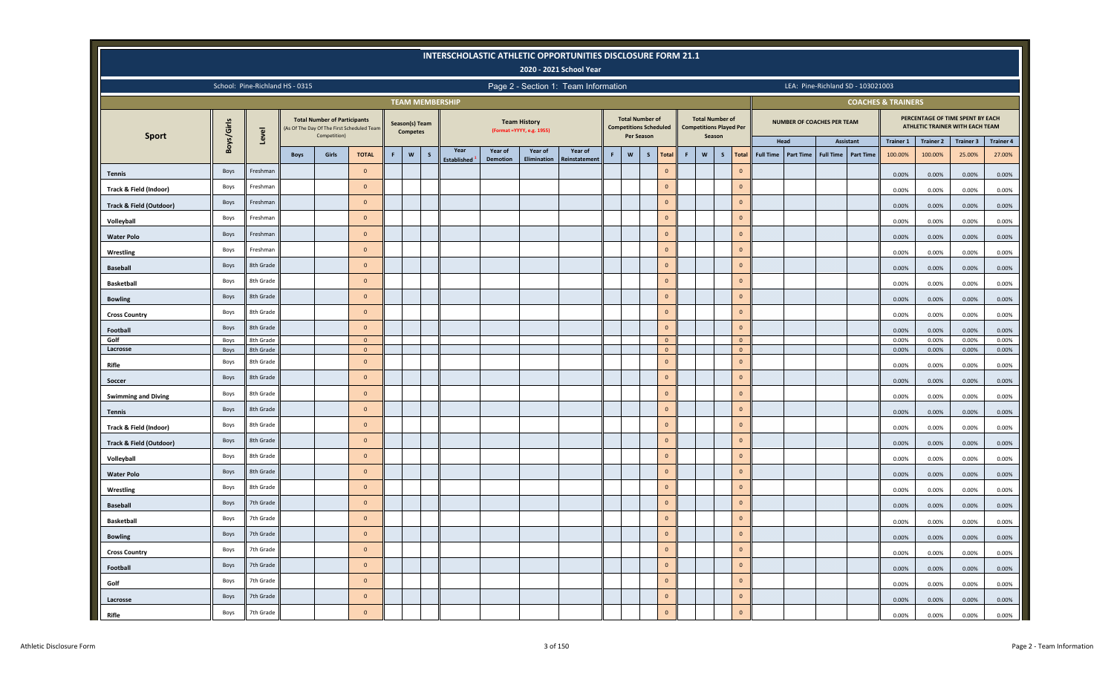|                                    |            |           |                                 |                                                     |                                           |   |                                   |              |                          |          |                                                  | <b>INTERSCHOLASTIC ATHLETIC OPPORTUNITIES DISCLOSURE FORM 21.1</b><br>2020 - 2021 School Year |   |                                                                       |              |                |   |                                                                    |                |                  |                            |                  |                                   |                               |                  |                                                                     |                  |
|------------------------------------|------------|-----------|---------------------------------|-----------------------------------------------------|-------------------------------------------|---|-----------------------------------|--------------|--------------------------|----------|--------------------------------------------------|-----------------------------------------------------------------------------------------------|---|-----------------------------------------------------------------------|--------------|----------------|---|--------------------------------------------------------------------|----------------|------------------|----------------------------|------------------|-----------------------------------|-------------------------------|------------------|---------------------------------------------------------------------|------------------|
|                                    |            |           | School: Pine-Richland HS - 0315 |                                                     |                                           |   |                                   |              |                          |          |                                                  | Page 2 - Section 1: Team Information                                                          |   |                                                                       |              |                |   |                                                                    |                |                  |                            |                  | LEA: Pine-Richland SD - 103021003 |                               |                  |                                                                     |                  |
|                                    |            |           |                                 |                                                     |                                           |   |                                   |              | <b>TEAM MEMBERSHIP</b>   |          |                                                  |                                                                                               |   |                                                                       |              |                |   |                                                                    |                |                  |                            |                  |                                   | <b>COACHES &amp; TRAINERS</b> |                  |                                                                     |                  |
|                                    | Boys/Girls | Level     |                                 | <b>Total Number of Participants</b><br>Competition) | As Of The Day Of The First Scheduled Team |   | Season(s) Team<br><b>Competes</b> |              |                          |          | <b>Team History</b><br>(Format =YYYY, e.g. 1955) |                                                                                               |   | <b>Total Number of</b><br><b>Competitions Scheduled</b><br>Per Season |              |                |   | <b>Total Number of</b><br><b>Competitions Played Per</b><br>Season |                |                  | NUMBER OF COACHES PER TEAM |                  |                                   |                               |                  | PERCENTAGE OF TIME SPENT BY EACH<br>ATHLETIC TRAINER WITH EACH TEAM |                  |
| <b>Sport</b>                       |            |           |                                 |                                                     |                                           |   |                                   |              | Year                     | Year of  | Year of                                          | Year of                                                                                       |   |                                                                       |              |                |   |                                                                    |                |                  | Head                       |                  | Assistant                         | <b>Trainer 1</b>              | <b>Trainer 2</b> | <b>Trainer 3</b>                                                    | <b>Trainer 4</b> |
|                                    |            |           | <b>Boys</b>                     | Girls                                               | <b>TOTAL</b>                              | F | $\mathsf{w}$                      | $\mathsf{s}$ | Established <sup>3</sup> | Demotion | Elimination                                      | <b>Reinstatement</b>                                                                          | F | $\mathsf{w}$                                                          | $\mathsf{s}$ | Total          | F | $\boldsymbol{\mathsf{w}}$<br>$\mathsf{s}$                          | <b>Total</b>   | <b>Full Time</b> | <b>Part Time</b>           | <b>Full Time</b> | <b>Part Time</b>                  | 100.00%                       | 100.00%          | 25.00%                                                              | 27.00%           |
| <b>Tennis</b>                      | Boys       | Freshman  |                                 |                                                     | $\mathbf{0}$                              |   |                                   |              |                          |          |                                                  |                                                                                               |   |                                                                       |              | $\circ$        |   |                                                                    | $\overline{0}$ |                  |                            |                  |                                   | 0.00%                         | 0.00%            | 0.00%                                                               | 0.00%            |
| Track & Field (Indoor)             | Boys       | Freshman  |                                 |                                                     | $\mathbf{0}$                              |   |                                   |              |                          |          |                                                  |                                                                                               |   |                                                                       |              | $\circ$        |   |                                                                    | $\overline{0}$ |                  |                            |                  |                                   | 0.00%                         | 0.00%            | 0.00%                                                               | 0.00%            |
| <b>Track &amp; Field (Outdoor)</b> | Boys       | Freshman  |                                 |                                                     | $\overline{0}$                            |   |                                   |              |                          |          |                                                  |                                                                                               |   |                                                                       |              | $\mathbf 0$    |   |                                                                    | $\Omega$       |                  |                            |                  |                                   | 0.00%                         | 0.00%            | 0.00%                                                               | 0.00%            |
| Volleyball                         | Boys       | Freshman  |                                 |                                                     | $\overline{0}$                            |   |                                   |              |                          |          |                                                  |                                                                                               |   |                                                                       |              | $\circ$        |   |                                                                    | $\overline{0}$ |                  |                            |                  |                                   | 0.00%                         | $0.00\%$         | 0.00%                                                               | 0.00%            |
| <b>Water Polo</b>                  | Boys       | Freshman  |                                 |                                                     | $\overline{0}$                            |   |                                   |              |                          |          |                                                  |                                                                                               |   |                                                                       |              | $\circ$        |   |                                                                    | $\mathbf{0}$   |                  |                            |                  |                                   | 0.00%                         | 0.00%            | 0.00%                                                               | 0.00%            |
| Wrestling                          | Boys       | Freshman  |                                 |                                                     | $\mathbf{0}$                              |   |                                   |              |                          |          |                                                  |                                                                                               |   |                                                                       |              | $\circ$        |   |                                                                    | $\overline{0}$ |                  |                            |                  |                                   | 0.00%                         | 0.00%            | 0.00%                                                               | 0.00%            |
| <b>Baseball</b>                    | Boys       | 8th Grade |                                 |                                                     | $\overline{0}$                            |   |                                   |              |                          |          |                                                  |                                                                                               |   |                                                                       |              | $\circ$        |   |                                                                    | $\overline{0}$ |                  |                            |                  |                                   | 0.00%                         | 0.00%            | 0.00%                                                               | 0.00%            |
| <b>Basketball</b>                  | Boys       | 8th Grade |                                 |                                                     | $\mathbf{0}$                              |   |                                   |              |                          |          |                                                  |                                                                                               |   |                                                                       |              | $\circ$        |   |                                                                    | $\overline{0}$ |                  |                            |                  |                                   | 0.00%                         | 0.00%            | 0.00%                                                               | 0.00%            |
| <b>Bowling</b>                     | Boys       | 8th Grade |                                 |                                                     | $\mathbf{0}$                              |   |                                   |              |                          |          |                                                  |                                                                                               |   |                                                                       |              | $\overline{0}$ |   |                                                                    | $\overline{0}$ |                  |                            |                  |                                   | 0.00%                         | 0.00%            | 0.00%                                                               | 0.00%            |
| <b>Cross Country</b>               | Boys       | 8th Grade |                                 |                                                     | $\mathbf{0}$                              |   |                                   |              |                          |          |                                                  |                                                                                               |   |                                                                       |              | $\mathbf 0$    |   |                                                                    | $\mathbf{0}$   |                  |                            |                  |                                   | 0.00%                         | 0.00%            | 0.00%                                                               | 0.00%            |
| Football                           | Boys       | 8th Grade |                                 |                                                     | $\mathbf{0}$                              |   |                                   |              |                          |          |                                                  |                                                                                               |   |                                                                       |              | $\overline{0}$ |   |                                                                    | $\overline{0}$ |                  |                            |                  |                                   | 0.00%                         | 0.00%            | 0.00%                                                               | 0.00%            |
| Golf                               | Boys       | 8th Grade |                                 |                                                     | $\overline{\mathbf{0}}$                   |   |                                   |              |                          |          |                                                  |                                                                                               |   |                                                                       |              | $\circ$        |   |                                                                    | $\overline{0}$ |                  |                            |                  |                                   | 0.00%                         | 0.00%            | 0.00%                                                               | 0.00%            |
| Lacrosse                           | Boys       | 8th Grade |                                 |                                                     | $\overline{\mathbf{0}}$                   |   |                                   |              |                          |          |                                                  |                                                                                               |   |                                                                       |              | $\overline{0}$ |   |                                                                    | $\mathbf{0}$   |                  |                            |                  |                                   | 0.00%                         | 0.00%            | 0.00%                                                               | 0.00%            |
| Rifle                              | Boys       | 8th Grade |                                 |                                                     | $\mathbf{0}$                              |   |                                   |              |                          |          |                                                  |                                                                                               |   |                                                                       |              | $\overline{0}$ |   |                                                                    | $\overline{0}$ |                  |                            |                  |                                   | 0.00%                         | 0.00%            | 0.00%                                                               | 0.00%            |
| Soccer                             | Boys       | 8th Grade |                                 |                                                     | $\overline{0}$                            |   |                                   |              |                          |          |                                                  |                                                                                               |   |                                                                       |              | $\overline{0}$ |   |                                                                    | $\Omega$       |                  |                            |                  |                                   | 0.00%                         | 0.00%            | 0.00%                                                               | 0.00%            |
| <b>Swimming and Diving</b>         | Boys       | 8th Grade |                                 |                                                     | $\overline{0}$                            |   |                                   |              |                          |          |                                                  |                                                                                               |   |                                                                       |              | $\circ$        |   |                                                                    | $\mathbf{0}$   |                  |                            |                  |                                   | 0.00%                         | $0.00\%$         | 0.00%                                                               | 0.00%            |
| <b>Tennis</b>                      | Boys       | 8th Grade |                                 |                                                     | $\overline{0}$                            |   |                                   |              |                          |          |                                                  |                                                                                               |   |                                                                       |              | $\mathbf{0}$   |   |                                                                    | $\overline{0}$ |                  |                            |                  |                                   | 0.00%                         | 0.00%            | 0.00%                                                               | 0.00%            |
| Track & Field (Indoor)             | Boys       | 8th Grade |                                 |                                                     | $\mathbf{0}$                              |   |                                   |              |                          |          |                                                  |                                                                                               |   |                                                                       |              | $\mathbf{0}$   |   |                                                                    |                | $\mathbf{0}$     |                            |                  |                                   | 0.00%                         | 0.00%            | 0.00%                                                               | 0.00%            |
| Track & Field (Outdoor)            | Boys       | 8th Grade |                                 |                                                     | $\circ$                                   |   |                                   |              |                          |          |                                                  |                                                                                               |   |                                                                       |              | $\mathbf{0}$   |   |                                                                    | $\overline{0}$ |                  |                            |                  |                                   | 0.00%                         | 0.00%            | 0.00%                                                               | 0.00%            |
| Volleyball                         | Boys       | 8th Grade |                                 |                                                     | $\overline{0}$                            |   |                                   |              |                          |          |                                                  |                                                                                               |   |                                                                       |              | $\mathbf{0}$   |   |                                                                    |                | $\mathbf{0}$     |                            |                  |                                   | 0.00%                         | 0.00%            | 0.00%                                                               | 0.00%            |
| <b>Water Polo</b>                  | Boys       | 8th Grade |                                 |                                                     | $\circ$                                   |   |                                   |              |                          |          |                                                  |                                                                                               |   |                                                                       |              | $\circ$        |   |                                                                    |                | $\mathbf 0$      |                            |                  |                                   | 0.00%                         | 0.00%            | 0.00%                                                               | 0.00%            |
| Wrestling                          | Boys       | 8th Grade |                                 |                                                     | $\overline{0}$                            |   |                                   |              |                          |          |                                                  |                                                                                               |   |                                                                       |              | $\circ$        |   |                                                                    | $\overline{0}$ |                  |                            |                  |                                   | 0.00%                         | 0.00%            | 0.00%                                                               | 0.00%            |
| <b>Baseball</b>                    | Boys       | 7th Grade |                                 |                                                     | $\overline{0}$                            |   |                                   |              |                          |          |                                                  |                                                                                               |   |                                                                       |              | $\circ$        |   |                                                                    | $\overline{0}$ |                  |                            |                  |                                   | 0.00%                         | 0.00%            | 0.00%                                                               | 0.00%            |
| <b>Basketball</b>                  | Boys       | 7th Grade |                                 |                                                     | $\overline{0}$                            |   |                                   |              |                          |          |                                                  |                                                                                               |   |                                                                       |              | $\circ$        |   |                                                                    | $\overline{0}$ |                  |                            |                  |                                   | 0.00%                         | 0.00%            | 0.00%                                                               | 0.00%            |
| <b>Bowling</b>                     | Boys       | 7th Grade |                                 |                                                     | $\mathbf{0}$                              |   |                                   |              |                          |          |                                                  |                                                                                               |   |                                                                       |              | $\circ$        |   |                                                                    | $\overline{0}$ |                  |                            |                  |                                   | 0.00%                         | 0.00%            | 0.00%                                                               | 0.00%            |
| <b>Cross Country</b>               | Boys       | 7th Grade |                                 |                                                     | $\overline{0}$                            |   |                                   |              |                          |          |                                                  |                                                                                               |   |                                                                       |              | $\circ$        |   |                                                                    | $\Omega$       |                  |                            |                  |                                   | 0.00%                         | 0.00%            | 0.00%                                                               | 0.00%            |
|                                    | Boys       | 7th Grade |                                 |                                                     | $\mathbf{0}$                              |   |                                   |              |                          |          |                                                  |                                                                                               |   |                                                                       |              | $\circ$        |   |                                                                    | $\overline{0}$ |                  |                            |                  |                                   |                               |                  |                                                                     |                  |
| Football                           | Boys       | 7th Grade |                                 |                                                     | $\overline{0}$                            |   |                                   |              |                          |          |                                                  |                                                                                               |   |                                                                       |              | $\circ$        |   |                                                                    | $\Omega$       |                  |                            |                  |                                   | 0.00%                         | 0.00%            | 0.00%                                                               | 0.00%            |
| Golf                               | Boys       | 7th Grade |                                 |                                                     | $\overline{0}$                            |   |                                   |              |                          |          |                                                  |                                                                                               |   |                                                                       |              | $\circ$        |   |                                                                    | $\overline{0}$ |                  |                            |                  |                                   | 0.00%                         | 0.00%            | 0.00%                                                               | 0.00%            |
| Lacrosse                           | Boys       | 7th Grade |                                 |                                                     | $\overline{0}$                            |   |                                   |              |                          |          |                                                  |                                                                                               |   |                                                                       |              | $\circ$        |   |                                                                    |                | $\mathbf{0}$     |                            |                  |                                   | 0.00%                         | 0.00%            | 0.00%                                                               | 0.00%            |
| Rifle                              |            |           |                                 |                                                     |                                           |   |                                   |              |                          |          |                                                  |                                                                                               |   |                                                                       |              |                |   |                                                                    |                |                  |                            |                  |                                   | 0.00%                         | 0.00%            | 0.00%                                                               | 0.00%            |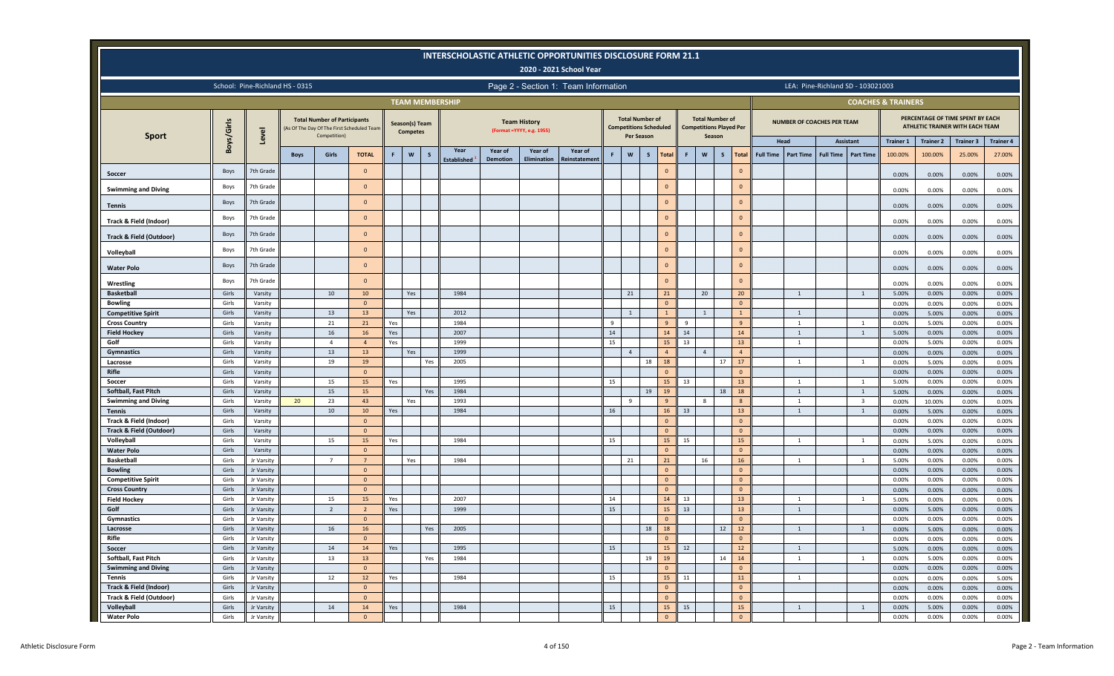|                                    |                |                          |                                 |                                                     |                                           |     |                                   |     |                            |                            |                                                   | <b>INTERSCHOLASTIC ATHLETIC OPPORTUNITIES DISCLOSURE FORM 21.1</b><br>2020 - 2021 School Year |          |                                                         |              |                    |              |                                                                    |                              |                  |                                   |                  |                                   |                               |                  |                                                                     |                  |
|------------------------------------|----------------|--------------------------|---------------------------------|-----------------------------------------------------|-------------------------------------------|-----|-----------------------------------|-----|----------------------------|----------------------------|---------------------------------------------------|-----------------------------------------------------------------------------------------------|----------|---------------------------------------------------------|--------------|--------------------|--------------|--------------------------------------------------------------------|------------------------------|------------------|-----------------------------------|------------------|-----------------------------------|-------------------------------|------------------|---------------------------------------------------------------------|------------------|
|                                    |                |                          | School: Pine-Richland HS - 0315 |                                                     |                                           |     |                                   |     |                            |                            |                                                   | Page 2 - Section 1: Team Information                                                          |          |                                                         |              |                    |              |                                                                    |                              |                  |                                   |                  | LEA: Pine-Richland SD - 103021003 |                               |                  |                                                                     |                  |
|                                    |                |                          |                                 |                                                     |                                           |     |                                   |     | <b>TEAM MEMBERSHIP</b>     |                            |                                                   |                                                                                               |          |                                                         |              |                    |              |                                                                    |                              |                  |                                   |                  |                                   | <b>COACHES &amp; TRAINERS</b> |                  |                                                                     |                  |
|                                    | Boys/Girls     | Level                    |                                 | <b>Total Number of Participants</b><br>Competition) | As Of The Day Of The First Scheduled Team |     | Season(s) Team<br><b>Competes</b> |     |                            |                            | <b>Team History</b><br>(Format = YYYY, e.g. 1955) |                                                                                               |          | <b>Total Number of</b><br><b>Competitions Scheduled</b> | Per Season   |                    |              | <b>Total Number of</b><br><b>Competitions Played Per</b><br>Season |                              |                  | <b>NUMBER OF COACHES PER TEAM</b> |                  |                                   |                               |                  | PERCENTAGE OF TIME SPENT BY EACH<br>ATHLETIC TRAINER WITH EACH TEAM |                  |
| <b>Sport</b>                       |                |                          |                                 |                                                     |                                           |     |                                   |     |                            |                            |                                                   |                                                                                               |          |                                                         |              |                    |              |                                                                    |                              |                  | Head                              |                  | Assistant                         | <b>Trainer 1</b>              | <b>Trainer 2</b> | <b>Trainer 3</b>                                                    | <b>Trainer 4</b> |
|                                    |                |                          | <b>Boys</b>                     | Girls                                               | <b>TOTAL</b>                              | F.  | $\mathsf{w}$                      | S   | Year<br><b>Established</b> | Year of<br><b>Demotion</b> | Year of<br>Elimination                            | Year of<br>Reinstatement                                                                      | F        | W                                                       | $\mathsf{s}$ | <b>Total</b>       | $\mathsf{F}$ | $\boldsymbol{\mathsf{w}}$                                          | $\mathsf{s}$<br><b>Total</b> | <b>Full Time</b> | <b>Part Time</b>                  | <b>Full Time</b> | <b>Part Time</b>                  | 100.00%                       | 100.00%          | 25.00%                                                              | 27.00%           |
| Soccer                             | Boys           | 7th Grade                |                                 |                                                     | $\overline{0}$                            |     |                                   |     |                            |                            |                                                   |                                                                                               |          |                                                         |              | $\Omega$           |              |                                                                    | $\mathbf{0}$                 |                  |                                   |                  |                                   | 0.00%                         | 0.00%            | 0.00%                                                               | 0.00%            |
| <b>Swimming and Diving</b>         | Boys           | 7th Grade                |                                 |                                                     | $\Omega$                                  |     |                                   |     |                            |                            |                                                   |                                                                                               |          |                                                         |              | $\Omega$           |              |                                                                    | $\mathbf{0}$                 |                  |                                   |                  |                                   | 0.00%                         | 0.00%            | 0.00%                                                               | 0.00%            |
| <b>Tennis</b>                      | Boys           | 7th Grade                |                                 |                                                     | $\overline{0}$                            |     |                                   |     |                            |                            |                                                   |                                                                                               |          |                                                         |              | $\circ$            |              |                                                                    | $\mathbf{0}$                 |                  |                                   |                  |                                   | 0.00%                         | 0.00%            | 0.00%                                                               | 0.00%            |
| Track & Field (Indoor)             | Boys           | 7th Grade                |                                 |                                                     | $\overline{0}$                            |     |                                   |     |                            |                            |                                                   |                                                                                               |          |                                                         |              | $\mathbf{0}$       |              |                                                                    | $\mathbf{0}$                 |                  |                                   |                  |                                   | 0.00%                         | 0.00%            | 0.00%                                                               | 0.00%            |
| <b>Track &amp; Field (Outdoor)</b> | Boys           | 7th Grade                |                                 |                                                     | $\overline{0}$                            |     |                                   |     |                            |                            |                                                   |                                                                                               |          |                                                         |              | $\circ$            |              |                                                                    | $\overline{0}$               |                  |                                   |                  |                                   | 0.00%                         | 0.00%            | 0.00%                                                               | 0.00%            |
| Volleyball                         | Boys           | 7th Grade                |                                 |                                                     | $\Omega$                                  |     |                                   |     |                            |                            |                                                   |                                                                                               |          |                                                         |              | $\circ$            |              |                                                                    | $\Omega$                     |                  |                                   |                  |                                   | 0.00%                         | 0.00%            | 0.00%                                                               | 0.00%            |
| <b>Water Polo</b>                  | Boys           | 7th Grade                |                                 |                                                     | $\overline{0}$                            |     |                                   |     |                            |                            |                                                   |                                                                                               |          |                                                         |              | $\circ$            |              |                                                                    | $\mathbf{0}$                 |                  |                                   |                  |                                   | 0.00%                         | 0.00%            | 0.00%                                                               | 0.00%            |
| Wrestling                          | Boys           | 7th Grade                |                                 |                                                     | $\overline{0}$                            |     |                                   |     |                            |                            |                                                   |                                                                                               |          |                                                         |              | $\mathbf{0}$       |              |                                                                    | $\mathbf{0}$                 |                  |                                   |                  |                                   | 0.00%                         | 0.00%            | 0.00%                                                               | 0.00%            |
| Basketball                         | Girls          | Varsity                  |                                 | 10                                                  | 10                                        |     | Yes                               |     | 1984                       |                            |                                                   |                                                                                               |          | 21                                                      |              | 21                 |              | 20                                                                 | 20                           |                  | $\mathbf{1}$                      |                  | $\mathbf{1}$                      | 5.00%                         | 0.00%            | 0.00%                                                               | 0.00%            |
| <b>Bowling</b>                     | Girls          | Varsity                  |                                 |                                                     | $\overline{0}$                            |     |                                   |     |                            |                            |                                                   |                                                                                               |          |                                                         |              | $\Omega$           |              |                                                                    | $\overline{0}$               |                  |                                   |                  |                                   | 0.00%                         | 0.00%            | 0.00%                                                               | 0.00%            |
| <b>Competitive Spirit</b>          | Girls          | Varsity                  |                                 | 13                                                  | 13                                        |     | Yes                               |     | 2012                       |                            |                                                   |                                                                                               |          | $\mathbf{1}$                                            |              |                    |              | $\overline{1}$                                                     |                              |                  | $\overline{1}$                    |                  |                                   | 0.00%                         | 5.00%            | 0.00%                                                               | 0.00%            |
| <b>Cross Country</b>               | Girls          | Varsity                  |                                 | 21                                                  | 21                                        | Yes |                                   |     | 1984                       |                            |                                                   |                                                                                               | 9        |                                                         |              | 9                  | - 9          |                                                                    | 9                            |                  | 1                                 |                  | $\overline{1}$                    | 0.00%                         | 5.00%            | 0.00%                                                               | 0.00%            |
| <b>Field Hockey</b>                | Girls          | Varsity                  |                                 | 16                                                  | 16                                        | Yes |                                   |     | 2007                       |                            |                                                   |                                                                                               | 14       |                                                         |              | 14                 | 14           |                                                                    | 14                           |                  | 1                                 |                  | 1                                 | 5.00%                         | 0.00%            | 0.00%                                                               | 0.00%            |
| Golf                               | Girls          | Varsity                  |                                 | $\overline{4}$                                      | $\overline{4}$                            | Yes |                                   |     | 1999                       |                            |                                                   |                                                                                               | 15       |                                                         |              | 15                 | 13           |                                                                    | 13                           |                  | <sup>1</sup>                      |                  |                                   | 0.00%                         | 5.00%            | 0.00%                                                               | 0.00%            |
| Gymnastics                         | Girls          | Varsity                  |                                 | 13<br>19                                            | 13                                        |     | Yes                               |     | 1999                       |                            |                                                   |                                                                                               |          | $\overline{4}$                                          | 18           | $\overline{4}$     |              | $\overline{4}$                                                     | $\overline{4}$<br>17         |                  |                                   |                  |                                   | 0.00%                         | 0.00%            | 0.00%                                                               | 0.00%            |
| Lacrosse<br>Rifle                  | Girls<br>Girls | Varsity<br>Varsity       |                                 |                                                     | 19<br>$\overline{0}$                      |     |                                   | Yes | 2005                       |                            |                                                   |                                                                                               |          |                                                         |              | 18<br>$\mathbf{0}$ |              |                                                                    | 17<br>$\mathbf{0}$           |                  | 1                                 |                  | <sup>1</sup>                      | 0.00%<br>0.00%                | 5.00%<br>0.00%   | 0.00%<br>0.00%                                                      | 0.00%<br>0.00%   |
| Soccer                             | Girls          | Varsity                  |                                 | 15                                                  | 15                                        | Yes |                                   |     | 1995                       |                            |                                                   |                                                                                               | 15       |                                                         |              | 15                 | 13           |                                                                    | 13                           |                  | <sup>1</sup>                      |                  | <sup>1</sup>                      | 5.00%                         | 0.00%            | 0.00%                                                               | 0.00%            |
| Softball, Fast Pitch               | Girls          | Varsity                  |                                 | 15                                                  | 15                                        |     |                                   | Yes | 1984                       |                            |                                                   |                                                                                               |          |                                                         | 19           | 19                 |              |                                                                    | 18<br>18                     |                  | $\mathbf{1}$                      |                  | 1                                 | 5.00%                         | 0.00%            | 0.00%                                                               | 0.00%            |
| <b>Swimming and Diving</b>         | Girls          | Varsity                  | 20                              | 23                                                  | 43                                        |     | Yes                               |     | 1993                       |                            |                                                   |                                                                                               |          | 9                                                       |              | 9                  |              | 8                                                                  | 8                            |                  | 1                                 |                  | $\overline{\mathbf{3}}$           | 0.00%                         | 10.00%           | 0.00%                                                               | 0.00%            |
| <b>Tennis</b>                      | Girls          | Varsity                  |                                 | 10                                                  | 10                                        | Yes |                                   |     | 1984                       |                            |                                                   |                                                                                               | 16       |                                                         |              | 16                 | 13           |                                                                    | 13                           |                  | $\mathbf{1}$                      |                  | $\mathbf{1}$                      | 0.00%                         | 5.00%            | 0.00%                                                               | 0.00%            |
| Track & Field (Indoor)             | Girls          | Varsity                  |                                 |                                                     | $\overline{0}$                            |     |                                   |     |                            |                            |                                                   |                                                                                               |          |                                                         |              | $\Omega$           |              |                                                                    | $\mathbf{0}$                 |                  |                                   |                  |                                   | 0.00%                         | 0.00%            | 0.00%                                                               | 0.00%            |
| <b>Track &amp; Field (Outdoor)</b> | Girls          | Varsity                  |                                 |                                                     | $\overline{0}$                            |     |                                   |     |                            |                            |                                                   |                                                                                               |          |                                                         |              | $\Omega$           |              |                                                                    | $\Omega$                     |                  |                                   |                  |                                   | 0.00%                         | 0.00%            | 0.00%                                                               | 0.00%            |
| Volleyball                         | Girls          | Varsity                  |                                 | 15                                                  | 15                                        | Yes |                                   |     | 1984                       |                            |                                                   |                                                                                               | 15       |                                                         |              | 15                 | 15           |                                                                    | 15                           |                  | $\overline{1}$                    |                  | $\overline{1}$                    | 0.00%                         | 5.00%            | 0.00%                                                               | 0.00%            |
| <b>Water Polo</b>                  | Girls          | Varsity                  |                                 |                                                     | $\overline{0}$                            |     |                                   |     |                            |                            |                                                   |                                                                                               |          |                                                         |              | $\Omega$           |              |                                                                    | $\Omega$                     |                  |                                   |                  |                                   | 0.00%                         | 0.00%            | 0.00%                                                               | 0.00%            |
| <b>Basketball</b>                  | Girls          | Jr Varsity               |                                 | $\overline{7}$                                      | $\overline{7}$                            |     | Yes                               |     | 1984                       |                            |                                                   |                                                                                               |          | 21                                                      |              | 21                 |              | 16                                                                 | 16                           |                  | 1                                 |                  | $\mathbf{1}$                      | 5.00%                         | 0.00%            | 0.00%                                                               | 0.00%            |
| <b>Bowling</b>                     | Girls          | Jr Varsity               |                                 |                                                     | $\overline{0}$                            |     |                                   |     |                            |                            |                                                   |                                                                                               |          |                                                         |              | $\mathbf{0}$       |              |                                                                    | $\mathbf{0}$                 |                  |                                   |                  |                                   | 0.00%                         | 0.00%            | 0.00%                                                               | 0.00%            |
| <b>Competitive Spirit</b>          | Girls          | Jr Varsity               |                                 |                                                     | $\overline{0}$                            |     |                                   |     |                            |                            |                                                   |                                                                                               |          |                                                         |              | $\mathbf{0}$       |              |                                                                    | $\mathbf{0}$                 |                  |                                   |                  |                                   | 0.00%                         | 0.00%            | 0.00%                                                               | 0.00%            |
| <b>Cross Country</b>               | Girls          | Jr Varsity               |                                 |                                                     | $\overline{0}$                            |     |                                   |     |                            |                            |                                                   |                                                                                               |          |                                                         |              | $\Omega$           |              |                                                                    | $\Omega$                     |                  |                                   |                  |                                   | 0.00%                         | 0.00%            | 0.00%                                                               | 0.00%            |
| <b>Field Hockey</b><br>Golf        | Girls<br>Girls | Jr Varsity               |                                 | 15<br>$\overline{2}$                                | 15<br>$\overline{2}$                      | Yes |                                   |     | 2007<br>1999               |                            |                                                   |                                                                                               | 14<br>15 |                                                         |              | 14<br>15           | 13<br>13     |                                                                    | 13<br>13                     |                  | 1                                 |                  | <sup>1</sup>                      | 5.00%                         | 0.00%            | 0.00%                                                               | 0.00%            |
| Gymnastics                         | Girls          | Jr Varsity<br>Jr Varsity |                                 |                                                     | $\overline{0}$                            | Yes |                                   |     |                            |                            |                                                   |                                                                                               |          |                                                         |              | $\Omega$           |              |                                                                    | $\mathbf{0}$                 |                  | 1                                 |                  |                                   | 0.00%<br>0.00%                | 5.00%<br>0.00%   | 0.00%<br>0.00%                                                      | 0.00%<br>0.00%   |
| Lacrosse                           | Girls          | Jr Varsity               |                                 | 16                                                  | 16                                        |     |                                   | Yes | 2005                       |                            |                                                   |                                                                                               |          |                                                         | 18           | 18                 |              |                                                                    | 12<br>12                     |                  | $\overline{1}$                    |                  | $\mathbf{1}$                      | 0.00%                         | 5.00%            | 0.00%                                                               | 0.00%            |
| Rifle                              | Girls          | Jr Varsity               |                                 |                                                     | $\overline{0}$                            |     |                                   |     |                            |                            |                                                   |                                                                                               |          |                                                         |              |                    |              |                                                                    |                              |                  |                                   |                  |                                   | 0.00%                         | 0.00%            | 0.00%                                                               | 0.00%            |
| Soccer                             | Girls          | Jr Varsity               |                                 | 14                                                  | 14                                        | Yes |                                   |     | 1995                       |                            |                                                   |                                                                                               | 15       |                                                         |              | 15                 | 12           |                                                                    | $12$                         |                  | $\overline{1}$                    |                  |                                   | 5.00%                         | 0.00%            | 0.00%                                                               | 0.00%            |
| Softball, Fast Pitch               | Girls          | Jr Varsity               |                                 | 13                                                  | 13                                        |     |                                   | Yes | 1984                       |                            |                                                   |                                                                                               |          |                                                         | 19           | 19                 |              |                                                                    | 14<br>14                     |                  | $\mathbf{1}$                      |                  | <sup>1</sup>                      | 0.00%                         | 5.00%            | 0.00%                                                               | 0.00%            |
| <b>Swimming and Diving</b>         | Girls          | Jr Varsity               |                                 |                                                     | $\overline{0}$                            |     |                                   |     |                            |                            |                                                   |                                                                                               |          |                                                         |              | $\Omega$           |              |                                                                    | $\overline{0}$               |                  |                                   |                  |                                   | 0.00%                         | 0.00%            | 0.00%                                                               | 0.00%            |
| Tennis                             | Girls          | Jr Varsity               |                                 | 12                                                  | 12                                        | Yes |                                   |     | 1984                       |                            |                                                   |                                                                                               | 15       |                                                         |              | 15                 | 11           |                                                                    | 11                           |                  | $\mathbf{1}$                      |                  |                                   | 0.00%                         | 0.00%            | 0.00%                                                               | 5.00%            |
| <b>Track &amp; Field (Indoor)</b>  | Girls          | Jr Varsity               |                                 |                                                     | $\overline{0}$                            |     |                                   |     |                            |                            |                                                   |                                                                                               |          |                                                         |              | $\mathbf{0}$       |              |                                                                    | $\overline{0}$               |                  |                                   |                  |                                   | 0.00%                         | 0.00%            | 0.00%                                                               | 0.00%            |
| Track & Field (Outdoor)            | Girls          | Jr Varsity               |                                 |                                                     | $\overline{0}$                            |     |                                   |     |                            |                            |                                                   |                                                                                               |          |                                                         |              | $\mathbf{0}$       |              |                                                                    | $\overline{0}$               |                  |                                   |                  |                                   | 0.00%                         | 0.00%            | 0.00%                                                               | 0.00%            |
| Volleyball                         | Girls          | Jr Varsity               |                                 | 14                                                  | 14                                        | Yes |                                   |     | 1984                       |                            |                                                   |                                                                                               | 15       |                                                         |              | 15                 | 15           |                                                                    | 15                           |                  | 1                                 |                  | $\mathbf{1}$                      | 0.00%                         | 5.00%            | 0.00%                                                               | 0.00%            |
| <b>Water Polo</b>                  | Girls          | Jr Varsity               |                                 |                                                     | $\overline{0}$                            |     |                                   |     |                            |                            |                                                   |                                                                                               |          |                                                         |              | $\overline{0}$     |              |                                                                    | $\overline{0}$               |                  |                                   |                  |                                   | 0.00%                         | 0.00%            | 0.00%                                                               | 0.00%            |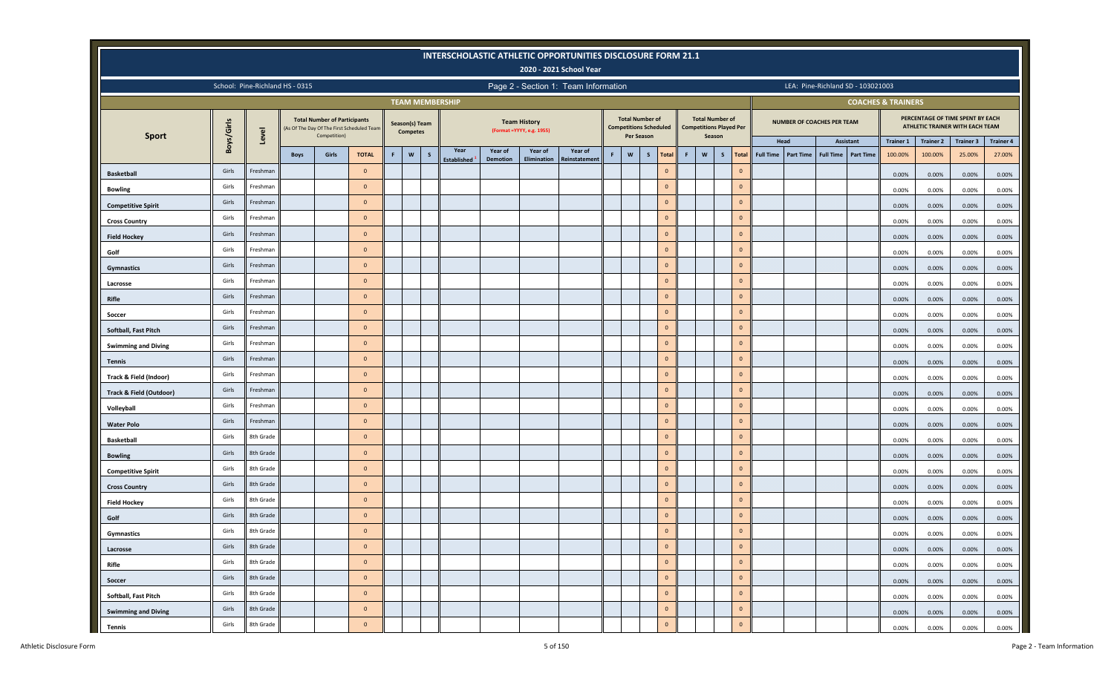|                                      |            |           |                                 |                                                     |                                           |    |                                   |              |                        |                 |                                                   | <b>INTERSCHOLASTIC ATHLETIC OPPORTUNITIES DISCLOSURE FORM 21.1</b><br>2020 - 2021 School Year |   |                                                                       |   |                |              |                                                                    |                |                  |                  |                            |                                   |                               |                  |                                                                     |                  |
|--------------------------------------|------------|-----------|---------------------------------|-----------------------------------------------------|-------------------------------------------|----|-----------------------------------|--------------|------------------------|-----------------|---------------------------------------------------|-----------------------------------------------------------------------------------------------|---|-----------------------------------------------------------------------|---|----------------|--------------|--------------------------------------------------------------------|----------------|------------------|------------------|----------------------------|-----------------------------------|-------------------------------|------------------|---------------------------------------------------------------------|------------------|
|                                      |            |           | School: Pine-Richland HS - 0315 |                                                     |                                           |    |                                   |              |                        |                 |                                                   | Page 2 - Section 1: Team Information                                                          |   |                                                                       |   |                |              |                                                                    |                |                  |                  |                            | LEA: Pine-Richland SD - 103021003 |                               |                  |                                                                     |                  |
|                                      |            |           |                                 |                                                     |                                           |    |                                   |              | <b>TEAM MEMBERSHIP</b> |                 |                                                   |                                                                                               |   |                                                                       |   |                |              |                                                                    |                |                  |                  |                            |                                   | <b>COACHES &amp; TRAINERS</b> |                  |                                                                     |                  |
| <b>Sport</b>                         | Boys/Girls | Level     |                                 | <b>Total Number of Participants</b><br>Competition) | As Of The Day Of The First Scheduled Team |    | Season(s) Team<br><b>Competes</b> |              |                        |                 | <b>Team History</b><br>(Format = YYYY, e.g. 1955) |                                                                                               |   | <b>Total Number of</b><br><b>Competitions Scheduled</b><br>Per Season |   |                |              | <b>Total Number of</b><br><b>Competitions Played Per</b><br>Season |                |                  |                  | NUMBER OF COACHES PER TEAM |                                   |                               |                  | PERCENTAGE OF TIME SPENT BY EACH<br>ATHLETIC TRAINER WITH EACH TEAM |                  |
|                                      |            |           |                                 |                                                     |                                           |    |                                   |              | Year                   | Year of         | Year of                                           | Year of                                                                                       |   |                                                                       |   |                |              |                                                                    |                |                  | Head             |                            | Assistant                         | <b>Trainer 1</b>              | <b>Trainer 2</b> | <b>Trainer 3</b>                                                    | <b>Trainer 4</b> |
|                                      |            |           | <b>Boys</b>                     | Girls                                               | <b>TOTAL</b>                              | F. | $\mathsf{w}$                      | $\mathsf{s}$ | <b>Established</b>     | <b>Demotion</b> | Elimination                                       | Reinstatement                                                                                 | F | $\boldsymbol{\mathsf{w}}$                                             | S | <b>Total</b>   | $\mathbf{F}$ | $\mathsf{w}$<br>S                                                  | <b>Total</b>   | <b>Full Time</b> | <b>Part Time</b> | <b>Full Time</b>           | <b>Part Time</b>                  | 100.00%                       | 100.00%          | 25.00%                                                              | 27.00%           |
| <b>Basketball</b>                    | Girls      | Freshman  |                                 |                                                     | $\overline{0}$                            |    |                                   |              |                        |                 |                                                   |                                                                                               |   |                                                                       |   | $\overline{0}$ |              |                                                                    | $\mathbf{0}$   |                  |                  |                            |                                   | 0.00%                         | 0.00%            | 0.00%                                                               | 0.00%            |
| <b>Bowling</b>                       | Girls      | Freshman  |                                 |                                                     | $\overline{0}$                            |    |                                   |              |                        |                 |                                                   |                                                                                               |   |                                                                       |   | $\circ$        |              |                                                                    | $\overline{0}$ |                  |                  |                            |                                   | 0.00%                         | 0.00%            | 0.00%                                                               | 0.00%            |
| <b>Competitive Spirit</b>            | Girls      | Freshman  |                                 |                                                     | $\overline{\mathbf{0}}$                   |    |                                   |              |                        |                 |                                                   |                                                                                               |   |                                                                       |   | $\circ$        |              |                                                                    | $\overline{0}$ |                  |                  |                            |                                   | 0.00%                         | 0.00%            | 0.00%                                                               | 0.00%            |
| <b>Cross Country</b>                 | Girls      | Freshman  |                                 |                                                     | $\overline{0}$                            |    |                                   |              |                        |                 |                                                   |                                                                                               |   |                                                                       |   | $\circ$        |              |                                                                    | $\overline{0}$ |                  |                  |                            |                                   | 0.00%                         | 0.00%            | 0.00%                                                               | 0.00%            |
| <b>Field Hockey</b>                  | Girls      | Freshman  |                                 |                                                     | $\overline{0}$                            |    |                                   |              |                        |                 |                                                   |                                                                                               |   |                                                                       |   | $\circ$        |              |                                                                    | $\overline{0}$ |                  |                  |                            |                                   | 0.00%                         | 0.00%            | 0.00%                                                               | 0.00%            |
| Golf                                 | Girls      | Freshman  |                                 |                                                     | $\overline{0}$                            |    |                                   |              |                        |                 |                                                   |                                                                                               |   |                                                                       |   | $\circ$        |              |                                                                    | $\mathbf{0}$   |                  |                  |                            |                                   | 0.00%                         | 0.00%            | 0.00%                                                               | 0.00%            |
| <b>Gymnastics</b>                    | Girls      | Freshman  |                                 |                                                     | $\overline{0}$                            |    |                                   |              |                        |                 |                                                   |                                                                                               |   |                                                                       |   | $\circ$        |              |                                                                    | $\overline{0}$ |                  |                  |                            |                                   | 0.00%                         | 0.00%            | 0.00%                                                               | 0.00%            |
| Lacrosse                             | Girls      | Freshman  |                                 |                                                     | $\overline{0}$                            |    |                                   |              |                        |                 |                                                   |                                                                                               |   |                                                                       |   | $\circ$        |              |                                                                    | $\mathbf{0}$   |                  |                  |                            |                                   | 0.00%                         | 0.00%            | 0.00%                                                               | 0.00%            |
| Rifle                                | Girls      | Freshman  |                                 |                                                     | $\overline{0}$                            |    |                                   |              |                        |                 |                                                   |                                                                                               |   |                                                                       |   | $\circ$        |              |                                                                    | $\overline{0}$ |                  |                  |                            |                                   | 0.00%                         | 0.00%            | 0.00%                                                               | 0.00%            |
| Soccer                               | Girls      | Freshman  |                                 |                                                     | $\overline{0}$                            |    |                                   |              |                        |                 |                                                   |                                                                                               |   |                                                                       |   | $\circ$        |              |                                                                    | $\overline{0}$ |                  |                  |                            |                                   | 0.00%                         | 0.00%            | 0.00%                                                               | 0.00%            |
| Softball, Fast Pitch                 | Girls      | Freshman  |                                 |                                                     | $\overline{0}$                            |    |                                   |              |                        |                 |                                                   |                                                                                               |   |                                                                       |   | $\circ$        |              |                                                                    | $\overline{0}$ |                  |                  |                            |                                   | 0.00%                         | 0.00%            | 0.00%                                                               | 0.00%            |
| <b>Swimming and Diving</b>           | Girls      | Freshman  |                                 |                                                     | $\overline{0}$                            |    |                                   |              |                        |                 |                                                   |                                                                                               |   |                                                                       |   | $\circ$        |              |                                                                    | $\overline{0}$ |                  |                  |                            |                                   | 0.00%                         | 0.00%            | 0.00%                                                               | 0.00%            |
| <b>Tennis</b>                        | Girls      | Freshman  |                                 |                                                     | $\overline{0}$                            |    |                                   |              |                        |                 |                                                   |                                                                                               |   |                                                                       |   | $\circ$        |              |                                                                    | $\mathbf{0}$   |                  |                  |                            |                                   | 0.00%                         | 0.00%            | 0.00%                                                               | 0.00%            |
| Track & Field (Indoor)               | Girls      | Freshman  |                                 |                                                     | $\overline{0}$                            |    |                                   |              |                        |                 |                                                   |                                                                                               |   |                                                                       |   | $\circ$        |              |                                                                    | $\overline{0}$ |                  |                  |                            |                                   | 0.00%                         | 0.00%            | 0.00%                                                               | 0.00%            |
| <b>Track &amp; Field (Outdoor)</b>   | Girls      | Freshman  |                                 |                                                     | $\overline{0}$                            |    |                                   |              |                        |                 |                                                   |                                                                                               |   |                                                                       |   | $\circ$        |              |                                                                    | $\mathbf{0}$   |                  |                  |                            |                                   | 0.00%                         | 0.00%            | 0.00%                                                               | 0.00%            |
| Volleyball                           | Girls      | Freshman  |                                 |                                                     | $\overline{0}$                            |    |                                   |              |                        |                 |                                                   |                                                                                               |   |                                                                       |   | $\circ$        |              |                                                                    | $\overline{0}$ |                  |                  |                            |                                   | 0.00%                         | 0.00%            | 0.00%                                                               | 0.00%            |
| <b>Water Polo</b>                    | Girls      | Freshman  |                                 |                                                     | $\overline{0}$                            |    |                                   |              |                        |                 |                                                   |                                                                                               |   |                                                                       |   | $\circ$        |              |                                                                    | $\overline{0}$ |                  |                  |                            |                                   | 0.00%                         | 0.00%            | 0.00%                                                               | 0.00%            |
| <b>Basketball</b>                    | Girls      | 8th Grade |                                 |                                                     | $\overline{0}$                            |    |                                   |              |                        |                 |                                                   |                                                                                               |   |                                                                       |   | $\circ$        |              |                                                                    | $\overline{0}$ |                  |                  |                            |                                   | 0.00%                         | 0.00%            | 0.00%                                                               | 0.00%            |
| <b>Bowling</b>                       | Girls      | 8th Grade |                                 |                                                     | $\overline{0}$                            |    |                                   |              |                        |                 |                                                   |                                                                                               |   |                                                                       |   | $\circ$        |              |                                                                    | $\mathbf{0}$   |                  |                  |                            |                                   | 0.00%                         | 0.00%            | 0.00%                                                               | 0.00%            |
| <b>Competitive Spirit</b>            | Girls      | 8th Grade |                                 |                                                     | $\overline{0}$                            |    |                                   |              |                        |                 |                                                   |                                                                                               |   |                                                                       |   | $\circ$        |              |                                                                    | $\mathbf{0}$   |                  |                  |                            |                                   | 0.00%                         | 0.00%            | 0.00%                                                               | 0.00%            |
| <b>Cross Country</b>                 | Girls      | 8th Grade |                                 |                                                     | $\overline{0}$                            |    |                                   |              |                        |                 |                                                   |                                                                                               |   |                                                                       |   | $\circ$        |              |                                                                    | $\overline{0}$ |                  |                  |                            |                                   | 0.00%                         | 0.00%            | 0.00%                                                               | 0.00%            |
| <b>Field Hockey</b>                  | Girls      | 8th Grade |                                 |                                                     | $\overline{0}$                            |    |                                   |              |                        |                 |                                                   |                                                                                               |   |                                                                       |   | $\circ$        |              |                                                                    | $\overline{0}$ |                  |                  |                            |                                   | 0.00%                         | 0.00%            | 0.00%                                                               | 0.00%            |
| Golf                                 | Girls      | 8th Grade |                                 |                                                     | $\overline{0}$                            |    |                                   |              |                        |                 |                                                   |                                                                                               |   |                                                                       |   | $\circ$        |              |                                                                    | $\mathbf{0}$   |                  |                  |                            |                                   | 0.00%                         | 0.00%            | 0.00%                                                               | 0.00%            |
| Gymnastics                           | Girls      | 8th Grade |                                 |                                                     | $\mathbf{0}$                              |    |                                   |              |                        |                 |                                                   |                                                                                               |   |                                                                       |   | $\circ$        |              |                                                                    | $\overline{0}$ |                  |                  |                            |                                   | 0.00%                         | $0.00\%$         | 0.00%                                                               | 0.00%            |
| Lacrosse                             | Girls      | 8th Grade |                                 |                                                     | $\overline{0}$                            |    |                                   |              |                        |                 |                                                   |                                                                                               |   |                                                                       |   | $\overline{0}$ |              |                                                                    | $\mathbf{0}$   |                  |                  |                            |                                   | 0.00%                         | 0.00%            | 0.00%                                                               | 0.00%            |
| Rifle                                | Girls      | 8th Grade |                                 |                                                     | $\mathbf{0}$                              |    |                                   |              |                        |                 |                                                   |                                                                                               |   |                                                                       |   | $\circ$        |              |                                                                    | $\overline{0}$ |                  |                  |                            |                                   |                               |                  |                                                                     |                  |
|                                      | Girls      | 8th Grade |                                 |                                                     | $\mathbf{0}$                              |    |                                   |              |                        |                 |                                                   |                                                                                               |   |                                                                       |   | $\overline{0}$ |              |                                                                    | $\mathbf{0}$   |                  |                  |                            |                                   | 0.00%                         | 0.00%            | 0.00%                                                               | 0.00%            |
| Soccer                               | Girls      | 8th Grade |                                 |                                                     | $\overline{\mathbf{0}}$                   |    |                                   |              |                        |                 |                                                   |                                                                                               |   |                                                                       |   | $\circ$        |              |                                                                    | $\mathbf{0}$   |                  |                  |                            |                                   | 0.00%                         | 0.00%            | 0.00%                                                               | 0.00%            |
| Softball, Fast Pitch                 | Girls      | 8th Grade |                                 |                                                     | $\overline{0}$                            |    |                                   |              |                        |                 |                                                   |                                                                                               |   |                                                                       |   | $\circ$        |              |                                                                    | $\overline{0}$ |                  |                  |                            |                                   | 0.00%                         | 0.00%            | 0.00%                                                               | 0.00%            |
| <b>Swimming and Diving</b><br>Tennis | Girls      | 8th Grade |                                 |                                                     | $\mathbf{0}$                              |    |                                   |              |                        |                 |                                                   |                                                                                               |   |                                                                       |   | $\circ$        |              |                                                                    | $\overline{0}$ |                  |                  |                            |                                   | 0.00%<br>0.00%                | 0.00%<br>0.00%   | 0.00%<br>0.00%                                                      | 0.00%<br>0.00%   |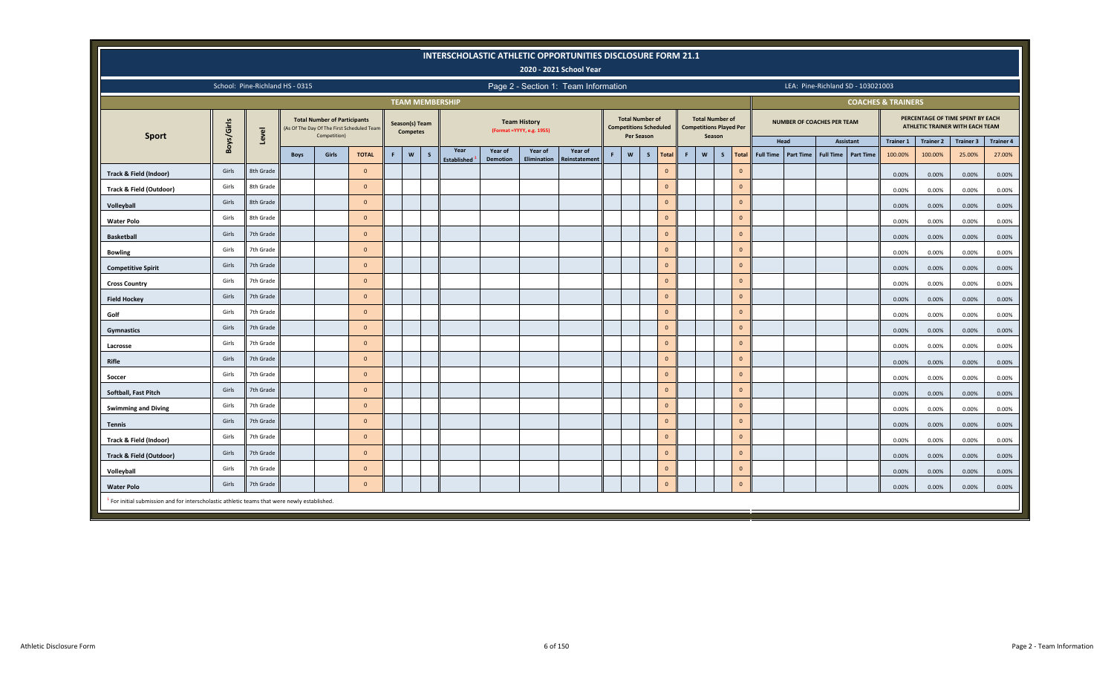|                                                                                                         |                                                                                                 |                                                                                                                                                                                                                                                 |             |                                                     |                                           |             |                                   |              |                    |                 |                                                   | INTERSCHOLASTIC ATHLETIC OPPORTUNITIES DISCLOSURE FORM 21.1<br>2020 - 2021 School Year |  |                                                         |                   |                |       |                                                                    |                   |                  |                                   |                  |                  |                               |                                                                     |                  |                  |
|---------------------------------------------------------------------------------------------------------|-------------------------------------------------------------------------------------------------|-------------------------------------------------------------------------------------------------------------------------------------------------------------------------------------------------------------------------------------------------|-------------|-----------------------------------------------------|-------------------------------------------|-------------|-----------------------------------|--------------|--------------------|-----------------|---------------------------------------------------|----------------------------------------------------------------------------------------|--|---------------------------------------------------------|-------------------|----------------|-------|--------------------------------------------------------------------|-------------------|------------------|-----------------------------------|------------------|------------------|-------------------------------|---------------------------------------------------------------------|------------------|------------------|
|                                                                                                         |                                                                                                 | School: Pine-Richland HS - 0315                                                                                                                                                                                                                 |             |                                                     |                                           |             |                                   |              |                    |                 |                                                   | Page 2 - Section 1: Team Information                                                   |  |                                                         |                   |                |       |                                                                    |                   |                  | LEA: Pine-Richland SD - 103021003 |                  |                  |                               |                                                                     |                  |                  |
|                                                                                                         |                                                                                                 |                                                                                                                                                                                                                                                 |             |                                                     |                                           |             | <b>TEAM MEMBERSHIP</b>            |              |                    |                 |                                                   |                                                                                        |  |                                                         |                   |                |       |                                                                    |                   |                  |                                   |                  |                  | <b>COACHES &amp; TRAINERS</b> |                                                                     |                  |                  |
|                                                                                                         | Boys/Girls                                                                                      | Level                                                                                                                                                                                                                                           |             | <b>Total Number of Participants</b><br>Competition) | As Of The Day Of The First Scheduled Team |             | Season(s) Team<br><b>Competes</b> |              |                    |                 | <b>Team History</b><br>(Format = YYYY, e.g. 1955) |                                                                                        |  | <b>Total Number of</b><br><b>Competitions Scheduled</b> | <b>Per Season</b> |                |       | <b>Total Number of</b><br><b>Competitions Played Per</b><br>Season |                   |                  | NUMBER OF COACHES PER TEAM        |                  |                  |                               | PERCENTAGE OF TIME SPENT BY EACH<br>ATHLETIC TRAINER WITH EACH TEAM |                  |                  |
| <b>Sport</b>                                                                                            |                                                                                                 |                                                                                                                                                                                                                                                 |             |                                                     |                                           |             |                                   |              | Year               | Year of         | Year of                                           | Year of                                                                                |  |                                                         |                   |                |       |                                                                    |                   |                  | Head                              |                  | Assistant        | <b>Trainer 1</b>              | <b>Trainer 2</b>                                                    | <b>Trainer 3</b> | <b>Trainer 4</b> |
|                                                                                                         |                                                                                                 |                                                                                                                                                                                                                                                 | <b>Boys</b> | Girls                                               | <b>TOTAL</b>                              | $\mathsf F$ | $\mathsf{w}$                      | $\mathsf{s}$ | <b>Established</b> | <b>Demotion</b> | <b>Elimination</b>                                | Reinstatemen                                                                           |  | W                                                       | $\mathsf{s}$      | <b>Total</b>   | F     | $\mathsf{w}$                                                       | S<br><b>Total</b> | <b>Full Time</b> | Part Time                         | <b>Full Time</b> | <b>Part Time</b> | 100.00%                       | 100.00%                                                             | 25.00%           | 27.00%           |
| <b>Track &amp; Field (Indoor)</b>                                                                       | Girls                                                                                           | 8th Grade                                                                                                                                                                                                                                       |             |                                                     | $\overline{0}$                            |             |                                   |              |                    |                 |                                                   |                                                                                        |  |                                                         |                   | $\mathbf{0}$   |       |                                                                    | $\mathbf{0}$      |                  |                                   |                  |                  | 0.00%                         | 0.00%                                                               | 0.00%            | 0.00%            |
| <b>Track &amp; Field (Outdoor)</b>                                                                      | Girls                                                                                           | 8th Grade                                                                                                                                                                                                                                       |             |                                                     | $\Omega$                                  |             |                                   |              |                    |                 |                                                   |                                                                                        |  |                                                         |                   | $\mathbf{0}$   |       |                                                                    |                   | $\mathbf{0}$     |                                   |                  |                  | 0.00%                         | 0.00%                                                               | 0.00%            | 0.00%            |
| Volleyball                                                                                              | Girls                                                                                           | 8th Grade<br>$\mathbf{0}$<br>$\mathbf{0}$<br>$\overline{0}$<br>0.00%<br>0.00%<br>Girls<br>8th Grade<br>$\mathbf{0}$<br>$\mathbf{0}$<br>$\overline{0}$<br>0.00%<br>0.00%<br>Girls<br>7th Grade<br>$\mathbf{0}$<br>$\overline{0}$<br>$\mathbf{0}$ |             |                                                     |                                           |             |                                   |              |                    |                 |                                                   |                                                                                        |  |                                                         |                   |                | 0.00% | 0.00%                                                              |                   |                  |                                   |                  |                  |                               |                                                                     |                  |                  |
| <b>Water Polo</b>                                                                                       | 0.00%<br>0.00%<br>0.00%<br>0.00%                                                                |                                                                                                                                                                                                                                                 |             |                                                     |                                           |             |                                   |              |                    |                 |                                                   |                                                                                        |  |                                                         |                   | 0.00%          |       |                                                                    |                   |                  |                                   |                  |                  |                               |                                                                     |                  |                  |
| <b>Basketball</b>                                                                                       | Girls<br>7th Grade<br>$\mathbf{0}$<br>$\mathbf{0}$<br>$\overline{0}$<br>0.00%<br>0.00%<br>0.00% |                                                                                                                                                                                                                                                 |             |                                                     |                                           |             |                                   |              |                    |                 |                                                   |                                                                                        |  |                                                         |                   | 0.00%          |       |                                                                    |                   |                  |                                   |                  |                  |                               |                                                                     |                  |                  |
| <b>Bowling</b>                                                                                          |                                                                                                 |                                                                                                                                                                                                                                                 |             |                                                     |                                           |             |                                   |              |                    |                 |                                                   |                                                                                        |  |                                                         |                   |                |       |                                                                    |                   |                  |                                   |                  |                  |                               |                                                                     |                  | 0.00%            |
| <b>Competitive Spirit</b>                                                                               | Girls                                                                                           | 7th Grade                                                                                                                                                                                                                                       |             |                                                     | $\Omega$                                  |             |                                   |              |                    |                 |                                                   |                                                                                        |  |                                                         |                   | $\mathbf{0}$   |       |                                                                    |                   | $\mathbf{0}$     |                                   |                  |                  | 0.00%                         | 0.00%                                                               | 0.00%            | 0.00%            |
| <b>Cross Country</b>                                                                                    | Girls                                                                                           | 7th Grade                                                                                                                                                                                                                                       |             |                                                     | $\overline{0}$                            |             |                                   |              |                    |                 |                                                   |                                                                                        |  |                                                         |                   | $\mathbf{0}$   |       |                                                                    |                   | $\mathbf{0}$     |                                   |                  |                  | 0.00%                         | 0.00%                                                               | 0.00%            | 0.00%            |
| <b>Field Hockey</b>                                                                                     | Girls                                                                                           | 7th Grade                                                                                                                                                                                                                                       |             |                                                     | $\overline{0}$                            |             |                                   |              |                    |                 |                                                   |                                                                                        |  |                                                         |                   | $\mathbf{0}$   |       |                                                                    | $\mathbf 0$       |                  |                                   |                  |                  | 0.00%                         | 0.00%                                                               | 0.00%            | 0.00%            |
| Golf                                                                                                    | Girls                                                                                           | 7th Grade                                                                                                                                                                                                                                       |             |                                                     | $\overline{\mathbf{0}}$                   |             |                                   |              |                    |                 |                                                   |                                                                                        |  |                                                         |                   | $\mathbf{0}$   |       |                                                                    |                   | $\mathbf 0$      |                                   |                  |                  | 0.00%                         | 0.00%                                                               | 0.00%            | 0.00%            |
| <b>Gymnastics</b>                                                                                       | Girls                                                                                           | 7th Grade                                                                                                                                                                                                                                       |             |                                                     | $\overline{0}$                            |             |                                   |              |                    |                 |                                                   |                                                                                        |  |                                                         |                   | $\mathbf{0}$   |       |                                                                    | $\mathbf 0$       |                  |                                   |                  |                  | 0.00%                         | 0.00%                                                               | 0.00%            | 0.00%            |
| Lacrosse                                                                                                | Girls                                                                                           | 7th Grade                                                                                                                                                                                                                                       |             |                                                     | $\overline{0}$                            |             |                                   |              |                    |                 |                                                   |                                                                                        |  |                                                         |                   | $\mathbf{0}$   |       |                                                                    |                   | $\mathbf{0}$     |                                   |                  |                  | 0.00%                         | 0.00%                                                               | 0.00%            | 0.00%            |
| Rifle                                                                                                   | Girls                                                                                           | 7th Grade                                                                                                                                                                                                                                       |             |                                                     | $\overline{0}$                            |             |                                   |              |                    |                 |                                                   |                                                                                        |  |                                                         |                   | $\mathbf{0}$   |       |                                                                    |                   | $\mathbf{0}$     |                                   |                  |                  | 0.00%                         | 0.00%                                                               | 0.00%            | 0.00%            |
| Soccer                                                                                                  | Girls                                                                                           | 7th Grade                                                                                                                                                                                                                                       |             |                                                     | $\overline{0}$                            |             |                                   |              |                    |                 |                                                   |                                                                                        |  |                                                         |                   | $\mathbf{0}$   |       |                                                                    |                   | $\mathbf{0}$     |                                   |                  |                  | 0.00%                         | 0.00%                                                               | 0.00%            | 0.00%            |
| Softball, Fast Pitch                                                                                    | Girls                                                                                           | 7th Grade                                                                                                                                                                                                                                       |             |                                                     | $\overline{0}$                            |             |                                   |              |                    |                 |                                                   |                                                                                        |  |                                                         |                   | $\mathbf{0}$   |       |                                                                    | $\mathbf{0}$      |                  |                                   |                  |                  | 0.00%                         | 0.00%                                                               | 0.00%            | 0.00%            |
| <b>Swimming and Diving</b>                                                                              | Girls                                                                                           | 7th Grade                                                                                                                                                                                                                                       |             |                                                     | $\overline{0}$                            |             |                                   |              |                    |                 |                                                   |                                                                                        |  |                                                         |                   | $\overline{0}$ |       |                                                                    |                   | $\mathbf{0}$     |                                   |                  |                  | 0.00%                         | 0.00%                                                               | 0.00%            | 0.00%            |
| <b>Tennis</b>                                                                                           | Girls                                                                                           | 7th Grade                                                                                                                                                                                                                                       |             |                                                     | $\overline{0}$                            |             |                                   |              |                    |                 |                                                   |                                                                                        |  |                                                         |                   | $\Omega$       |       |                                                                    | $\mathbf{0}$      |                  |                                   |                  |                  | 0.00%                         | 0.00%                                                               | 0.00%            | 0.00%            |
| Track & Field (Indoor)                                                                                  | Girls                                                                                           | 7th Grade                                                                                                                                                                                                                                       |             |                                                     | $\overline{0}$                            |             |                                   |              |                    |                 |                                                   |                                                                                        |  |                                                         |                   | $\mathbf{0}$   |       |                                                                    |                   | $\mathbf{0}$     |                                   |                  |                  | 0.00%                         | 0.00%                                                               | 0.00%            | 0.00%            |
| <b>Track &amp; Field (Outdoor)</b>                                                                      | Girls                                                                                           | 7th Grade                                                                                                                                                                                                                                       |             |                                                     | $\overline{0}$                            |             |                                   |              |                    |                 |                                                   |                                                                                        |  |                                                         |                   | $\mathbf{0}$   |       |                                                                    | $\mathbf{0}$      |                  |                                   |                  |                  | 0.00%                         | 0.00%                                                               | 0.00%            | 0.00%            |
| Volleyball                                                                                              | Girls                                                                                           | 7th Grade                                                                                                                                                                                                                                       |             |                                                     | $\overline{\mathbf{0}}$                   |             |                                   |              |                    |                 |                                                   |                                                                                        |  |                                                         |                   | $\mathbf{0}$   |       |                                                                    | $\mathbf{0}$      |                  |                                   |                  |                  | 0.00%                         | 0.00%                                                               | 0.00%            | 0.00%            |
| <b>Water Polo</b>                                                                                       | Girls                                                                                           | 7th Grade                                                                                                                                                                                                                                       |             |                                                     | $\overline{\mathbf{0}}$                   |             |                                   |              |                    |                 |                                                   |                                                                                        |  |                                                         |                   | $\mathbf{0}$   |       |                                                                    | $\mathbf{0}$      |                  |                                   |                  |                  | 0.00%                         | 0.00%                                                               | 0.00%            | 0.00%            |
| <sup>1</sup> For initial submission and for interscholastic athletic teams that were newly established. |                                                                                                 |                                                                                                                                                                                                                                                 |             |                                                     |                                           |             |                                   |              |                    |                 |                                                   |                                                                                        |  |                                                         |                   |                |       |                                                                    |                   |                  |                                   |                  |                  |                               |                                                                     |                  |                  |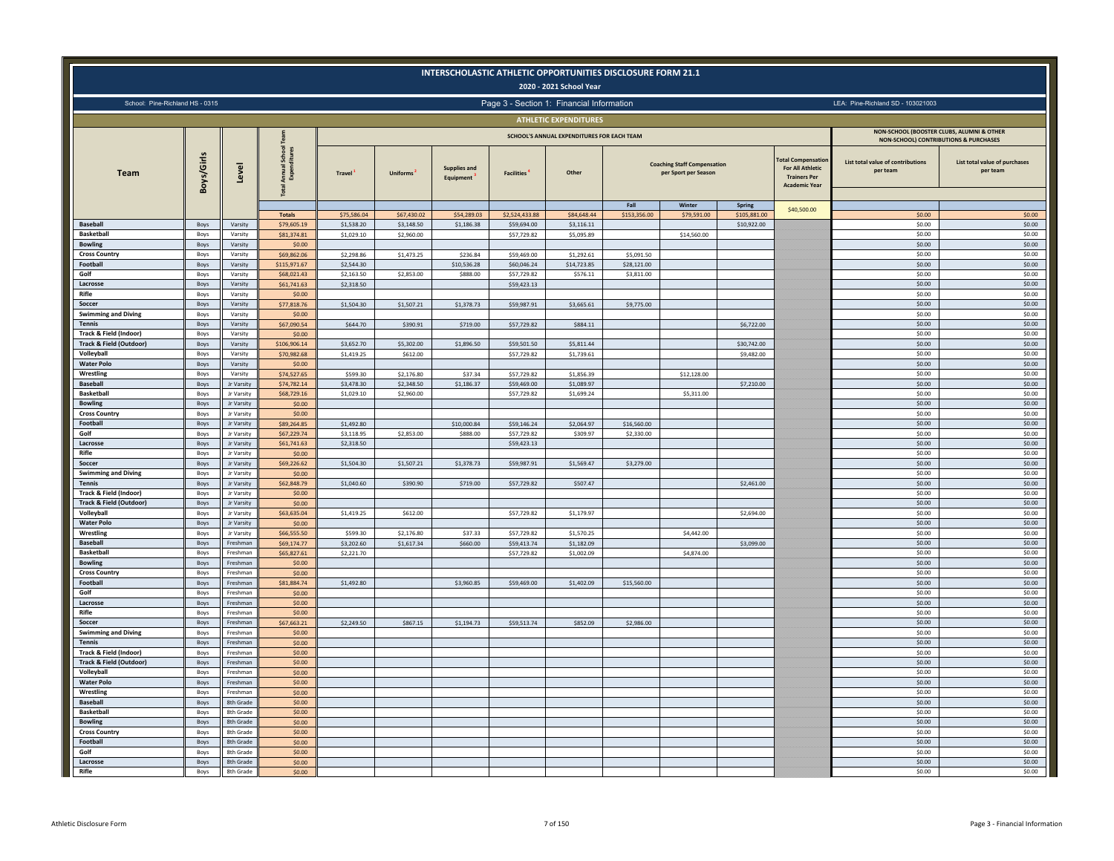|                                         |              |                          |                                            |                          |                 |                           | INTERSCHOLASTIC ATHLETIC OPPORTUNITIES DISCLOSURE FORM 21.1 | 2020 - 2021 School Year                    |                           |                                                            |                               |                                                                                                     |                                                                                    |                                           |
|-----------------------------------------|--------------|--------------------------|--------------------------------------------|--------------------------|-----------------|---------------------------|-------------------------------------------------------------|--------------------------------------------|---------------------------|------------------------------------------------------------|-------------------------------|-----------------------------------------------------------------------------------------------------|------------------------------------------------------------------------------------|-------------------------------------------|
| School: Pine-Richland HS - 0315         |              |                          |                                            |                          |                 |                           | Page 3 - Section 1: Financial Information                   |                                            |                           |                                                            |                               |                                                                                                     | LEA: Pine-Richland SD - 103021003                                                  |                                           |
|                                         |              |                          |                                            |                          |                 |                           |                                                             | <b>ATHLETIC EXPENDITURES</b>               |                           |                                                            |                               |                                                                                                     |                                                                                    |                                           |
|                                         |              |                          |                                            |                          |                 |                           |                                                             | SCHOOL'S ANNUAL EXPENDITURES FOR EACH TEAM |                           |                                                            |                               |                                                                                                     | NON-SCHOOL (BOOSTER CLUBS, ALUMNI & OTHER<br>NON-SCHOOL) CONTRIBUTIONS & PURCHASES |                                           |
| <b>Team</b>                             | Boys/Girls   | Level                    | School<br>Annual<br>Expeno<br><b>l</b> ota | Travel <sup>1</sup>      | <b>Uniforms</b> | Supplies and<br>Equipment | <b>Facilities</b>                                           | Other                                      |                           | <b>Coaching Staff Compensation</b><br>per Sport per Season |                               | <b>Total Compensation</b><br><b>For All Athletic</b><br><b>Trainers Per</b><br><b>Academic Year</b> | List total value of contributions<br>per team                                      | List total value of purchases<br>per team |
|                                         |              |                          | <b>Totals</b>                              | \$75,586.04              | \$67,430.02     | \$54,289.03               | \$2,524,433.88                                              | \$84,648.44                                | Fall<br>\$153,356.00      | Winter<br>\$79,591.00                                      | <b>Spring</b><br>\$105,881.00 | \$40,500.00                                                                                         | \$0.00                                                                             | \$0.00                                    |
| <b>Baseball</b>                         | Boys         | Varsity                  | \$79,605.19                                | \$1,538.20               | \$3,148.50      | \$1,186.38                | \$59,694.00                                                 | \$3,116.11                                 |                           |                                                            | \$10,922.00                   |                                                                                                     | \$0.00                                                                             | \$0.00                                    |
| Basketball                              | Boys         | Varsity                  | \$81,374.81                                | \$1,029.10               | \$2,960.00      |                           | \$57,729.82                                                 | \$5,095.89                                 |                           | \$14,560.00                                                |                               |                                                                                                     | \$0.00                                                                             | \$0.00                                    |
| <b>Bowling</b><br><b>Cross Country</b>  | Boys<br>Boys | Varsity<br>Varsity       | \$0.00<br>\$69,862.06                      | \$2,298.86               | \$1,473.25      | \$236.84                  | \$59,469.00                                                 | \$1,292.61                                 | \$5,091.50                |                                                            |                               |                                                                                                     | \$0.00<br>\$0.00                                                                   | \$0.00<br>\$0.00                          |
| Football                                | Boys         | Varsity                  | \$115,971.67                               | \$2,544.30               |                 | \$10,536.28               | \$60,046.24                                                 | \$14,723.85                                | \$28,121.00               |                                                            |                               |                                                                                                     | \$0.00                                                                             | \$0.00                                    |
| Golf                                    | Boys         | Varsity                  | \$68,021.43                                | \$2,163.50               | \$2,853.00      | \$888.00                  | \$57,729.82                                                 | \$576.11                                   | \$3,811.00                |                                                            |                               |                                                                                                     | \$0.00                                                                             | \$0.00                                    |
| Lacrosse                                | Boys         | Varsity                  | \$61,741.63                                | \$2,318.50               |                 |                           | \$59,423.13                                                 |                                            |                           |                                                            |                               |                                                                                                     | \$0.00                                                                             | \$0.00                                    |
| Rifle<br>Soccer                         | Boys<br>Boys | Varsity<br>Varsity       | \$0.00<br>\$77,818.76                      | \$1,504.30               | \$1,507.21      | \$1,378.73                | \$59,987.91                                                 | \$3,665.61                                 | \$9,775.00                |                                                            |                               |                                                                                                     | \$0.00<br>\$0.00                                                                   | \$0.00<br>\$0.00                          |
| <b>Swimming and Diving</b>              | Boys         | Varsity                  | \$0.00                                     |                          |                 |                           |                                                             |                                            |                           |                                                            |                               |                                                                                                     | \$0.00                                                                             | \$0.00                                    |
| Tennis                                  | Boys         | Varsity                  | \$67,090.54                                | \$644.70                 | \$390.91        | \$719.00                  | \$57,729.82                                                 | \$884.11                                   |                           |                                                            | \$6,722.00                    |                                                                                                     | \$0.00                                                                             | \$0.00                                    |
| Track & Field (Indoor)                  | Boys         | Varsity                  | \$0.00                                     |                          |                 |                           |                                                             |                                            |                           |                                                            |                               |                                                                                                     | \$0.00                                                                             | \$0.00                                    |
| <b>Track &amp; Field (Outdoor)</b>      | Boys         | Varsity                  | \$106,906.14                               | \$3,652.70               | \$5,302.00      | \$1,896.50                | \$59,501.50                                                 | \$5,811.44                                 |                           |                                                            | \$30,742.00                   |                                                                                                     | \$0.00                                                                             | \$0.00                                    |
| Volleyball<br><b>Water Polo</b>         | Boys<br>Boys | Varsity<br>Varsity       | \$70,982.68<br>\$0.00                      | \$1,419.25               | \$612.00        |                           | \$57,729.82                                                 | \$1,739.61                                 |                           |                                                            | \$9,482.00                    |                                                                                                     | \$0.00<br>\$0.00                                                                   | \$0.00<br>\$0.00                          |
| Wrestling                               | Boys         | Varsity                  | \$74,527.65                                | \$599.30                 | \$2,176.80      | \$37.34                   | \$57,729.82                                                 | \$1,856.39                                 |                           | \$12,128.00                                                |                               |                                                                                                     | \$0.00                                                                             | \$0.00                                    |
| <b>Baseball</b>                         | Boys         | Jr Varsity               | \$74,782.14                                | \$3,478.30               | \$2,348.50      | \$1,186.37                | \$59,469.00                                                 | \$1,089.97                                 |                           |                                                            | \$7,210.00                    |                                                                                                     | \$0.00                                                                             | \$0.00                                    |
| <b>Basketball</b>                       | Boys         | Jr Varsity               | \$68,729.16                                | \$1,029.10               | \$2,960.00      |                           | \$57,729.82                                                 | \$1,699.24                                 |                           | \$5,311.00                                                 |                               |                                                                                                     | \$0.00                                                                             | \$0.00                                    |
| <b>Bowling</b>                          | Boys         | Jr Varsity               | \$0.00                                     |                          |                 |                           |                                                             |                                            |                           |                                                            |                               |                                                                                                     | \$0.00                                                                             | \$0.00                                    |
| <b>Cross Country</b>                    | Boys         | Jr Varsity               | \$0.00                                     |                          |                 |                           |                                                             |                                            |                           |                                                            |                               |                                                                                                     | \$0.00                                                                             | \$0.00                                    |
| Football<br>Golf                        | Boys<br>Boys | Jr Varsity<br>Jr Varsity | \$89,264.85<br>\$67,229.74                 | \$1,492.80<br>\$3,118.95 | \$2,853.00      | \$10,000.84<br>\$888.00   | \$59,146.24<br>\$57,729.82                                  | \$2,064.97<br>\$309.97                     | \$16,560.00<br>\$2,330.00 |                                                            |                               |                                                                                                     | \$0.00<br>\$0.00                                                                   | \$0.00<br>\$0.00                          |
| Lacrosse                                | Boys         | Jr Varsity               | \$61,741.63                                | \$2,318.50               |                 |                           | \$59,423.13                                                 |                                            |                           |                                                            |                               |                                                                                                     | \$0.00                                                                             | \$0.00                                    |
| Rifle                                   | Boys         | Jr Varsity               | \$0.00                                     |                          |                 |                           |                                                             |                                            |                           |                                                            |                               |                                                                                                     | 50.00                                                                              | \$0.00                                    |
| Soccer                                  | Boys         | Jr Varsity               | \$69,226.62                                | \$1,504.30               | \$1,507.21      | \$1,378.73                | \$59,987.91                                                 | \$1,569.47                                 | \$3,279.00                |                                                            |                               |                                                                                                     | \$0.00                                                                             | \$0.00                                    |
| <b>Swimming and Diving</b>              | Boys         | Jr Varsity               | \$0.00                                     |                          |                 |                           |                                                             |                                            |                           |                                                            |                               |                                                                                                     | \$0.00                                                                             | \$0.00                                    |
| <b>Tennis</b><br>Track & Field (Indoor) | Boys<br>Boys | Jr Varsity<br>Jr Varsity | \$62,848.79<br>\$0.00                      | \$1,040.60               | \$390.90        | \$719.00                  | \$57,729.82                                                 | \$507.47                                   |                           |                                                            | \$2,461.00                    |                                                                                                     | \$0.00<br>\$0.00                                                                   | \$0.00<br>\$0.00                          |
| <b>Track &amp; Field (Outdoor)</b>      | Boys         | Jr Varsity               | \$0.00                                     |                          |                 |                           |                                                             |                                            |                           |                                                            |                               |                                                                                                     | \$0.00                                                                             | \$0.00                                    |
| Volleyball                              | Boys         | Jr Varsity               | \$63,635.04                                | \$1,419.25               | \$612.00        |                           | \$57,729.82                                                 | \$1,179.97                                 |                           |                                                            | \$2,694.00                    |                                                                                                     | \$0.00                                                                             | \$0.00                                    |
| <b>Water Polo</b>                       | Boys         | Jr Varsity               | \$0.00                                     |                          |                 |                           |                                                             |                                            |                           |                                                            |                               |                                                                                                     | \$0.00                                                                             | \$0.00                                    |
| Wrestling                               | Boys         | Jr Varsity               | \$66,555.50                                | \$599.30                 | \$2,176.80      | \$37.33                   | \$57,729.82                                                 | \$1,570.25                                 |                           | \$4,442.00                                                 |                               |                                                                                                     | \$0.00                                                                             | \$0.00                                    |
| <b>Baseball</b><br><b>Basketbal</b>     | Boys<br>Boys | Freshman<br>Freshman     | \$69,174.77<br>\$65,827.61                 | \$3,202.60<br>\$2,221.70 | \$1,617.34      | \$660.00                  | \$59,413.74<br>\$57,729.82                                  | \$1,182.09<br>\$1,002.09                   |                           | \$4,874.00                                                 | \$3,099.00                    |                                                                                                     | \$0.00<br>\$0.00                                                                   | \$0.00<br>\$0.00                          |
| <b>Bowling</b>                          | Boys         | Freshman                 | \$0.00                                     |                          |                 |                           |                                                             |                                            |                           |                                                            |                               |                                                                                                     | \$0.00                                                                             | \$0.00                                    |
| <b>Cross Country</b>                    | Boys         | Freshmar                 | \$0.00                                     |                          |                 |                           |                                                             |                                            |                           |                                                            |                               |                                                                                                     | \$0.00                                                                             | \$0.00                                    |
| Football                                | Boys         | Freshman                 | \$81,884.74                                | \$1,492.80               |                 | \$3,960.85                | \$59,469.00                                                 | \$1,402.09                                 | \$15,560.00               |                                                            |                               |                                                                                                     | \$0.00                                                                             | \$0.00                                    |
| Golf                                    | Boys         | Freshman                 | \$0.00                                     |                          |                 |                           |                                                             |                                            |                           |                                                            |                               |                                                                                                     | \$0.00                                                                             | \$0.00                                    |
| Lacrosse                                | Boys         | Freshman                 | \$0.00                                     |                          |                 |                           |                                                             |                                            |                           |                                                            |                               |                                                                                                     | \$0.00                                                                             | \$0.00                                    |
| Rifle<br>Soccer                         | Boys<br>Boys | Freshman<br>Freshman     | \$0.00<br>\$67,663.21                      | \$2,249.50               | \$867.15        | \$1,194.73                | \$59,513.74                                                 | \$852.09                                   | \$2,986.00                |                                                            |                               |                                                                                                     | \$0.00<br>\$0.00                                                                   | \$0.00<br>\$0.00                          |
| <b>Swimming and Diving</b>              | Boys         | Ereshman                 | \$0.00                                     |                          |                 |                           |                                                             |                                            |                           |                                                            |                               |                                                                                                     | \$0.00                                                                             | \$0.00                                    |
| Tennis                                  | Boys         | Freshman                 | \$0.00                                     |                          |                 |                           |                                                             |                                            |                           |                                                            |                               |                                                                                                     | \$0.00                                                                             | \$0.00                                    |
| Track & Field (Indoor)                  | Boys         | Freshman                 | \$0.00                                     |                          |                 |                           |                                                             |                                            |                           |                                                            |                               |                                                                                                     | \$0.00                                                                             | \$0.00                                    |
| <b>Track &amp; Field (Outdoor)</b>      | Boys         | Freshman                 | \$0.00                                     |                          |                 |                           |                                                             |                                            |                           |                                                            |                               |                                                                                                     | \$0.00                                                                             | \$0.00                                    |
| Volleyball                              | Boys         | Freshman                 | \$0.00                                     |                          |                 |                           |                                                             |                                            |                           |                                                            |                               |                                                                                                     | \$0.00                                                                             | \$0.00                                    |
| <b>Water Polo</b><br>Wrestling          | Boys<br>Boys | Freshman<br>Freshman     | \$0.00<br>\$0.00                           |                          |                 |                           |                                                             |                                            |                           |                                                            |                               |                                                                                                     | \$0.00<br>\$0.00                                                                   | \$0.00<br>\$0.00                          |
| <b>Baseball</b>                         | Boys         | 8th Grade                | \$0.00                                     |                          |                 |                           |                                                             |                                            |                           |                                                            |                               |                                                                                                     | \$0.00                                                                             | \$0.00                                    |
| <b>Raskethal</b>                        | Boys         | 8th Grade                | \$0.00                                     |                          |                 |                           |                                                             |                                            |                           |                                                            |                               |                                                                                                     | \$0.00                                                                             | \$0.00                                    |
| Bowling                                 | Boys         | 8th Grade                | \$0.00                                     |                          |                 |                           |                                                             |                                            |                           |                                                            |                               |                                                                                                     | \$0.00                                                                             | \$0.00                                    |
| <b>Cross Country</b>                    | Boys         | 8th Grade                | \$0.00                                     |                          |                 |                           |                                                             |                                            |                           |                                                            |                               |                                                                                                     | \$0.00                                                                             | \$0.00                                    |
| Football                                | Boys         | 8th Grade                | \$0.00                                     |                          |                 |                           |                                                             |                                            |                           |                                                            |                               |                                                                                                     | \$0.00                                                                             | \$0.00                                    |
| Golf                                    | Boys         | 8th Grade                | \$0.00                                     |                          |                 |                           |                                                             |                                            |                           |                                                            |                               |                                                                                                     | \$0.00<br>\$0.00                                                                   | \$0.00<br>\$0.00                          |
| Lacrosse<br>Rifle                       | Boys         | 8th Grade<br>8th Grade   | \$0.00                                     |                          |                 |                           |                                                             |                                            |                           |                                                            |                               |                                                                                                     | \$0.00                                                                             | \$0.00                                    |
|                                         | Boys         |                          | \$0.00                                     |                          |                 |                           |                                                             |                                            |                           |                                                            |                               |                                                                                                     |                                                                                    |                                           |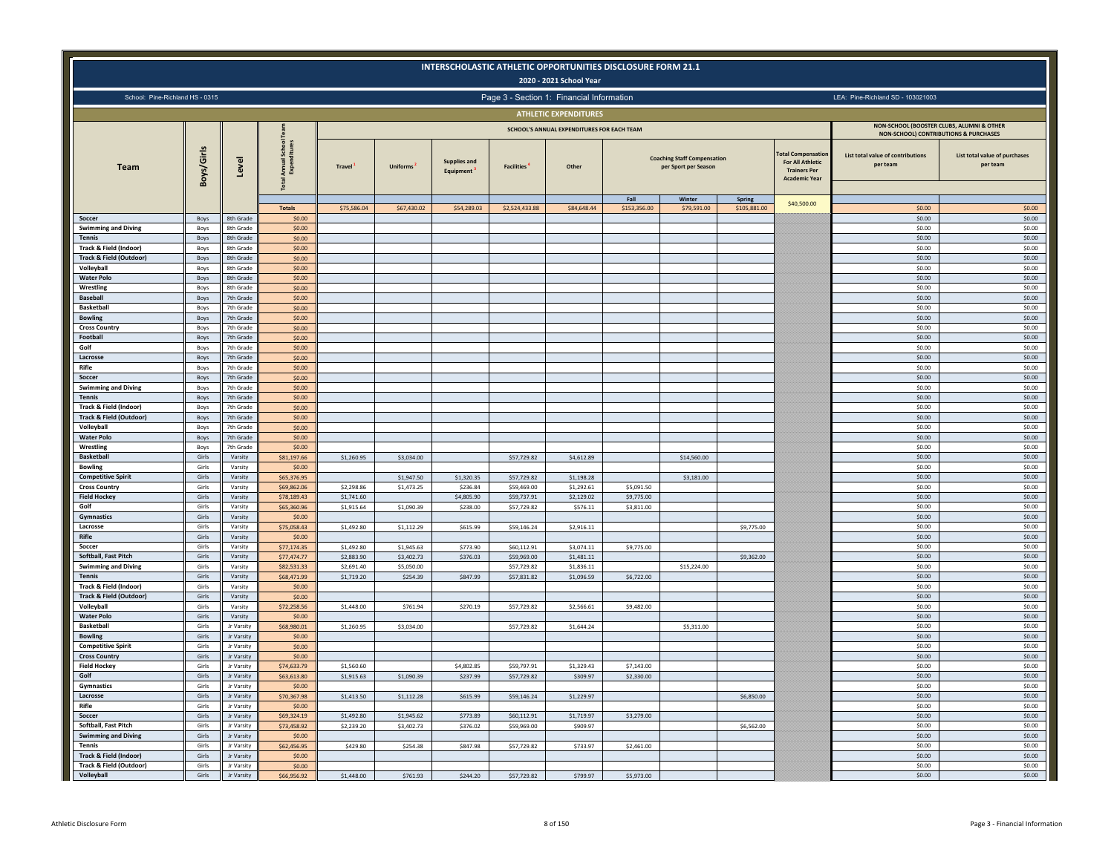|                                                   |                |                               |                                    |                          |                          |                                  |                                           | 2020 - 2021 School Year                    | INTERSCHOLASTIC ATHLETIC OPPORTUNITIES DISCLOSURE FORM 21.1 |                                                            |                        |                                                                                                     |                                                                                               |                                           |
|---------------------------------------------------|----------------|-------------------------------|------------------------------------|--------------------------|--------------------------|----------------------------------|-------------------------------------------|--------------------------------------------|-------------------------------------------------------------|------------------------------------------------------------|------------------------|-----------------------------------------------------------------------------------------------------|-----------------------------------------------------------------------------------------------|-------------------------------------------|
| School: Pine-Richland HS - 0315                   |                |                               |                                    |                          |                          |                                  | Page 3 - Section 1: Financial Information |                                            |                                                             |                                                            |                        |                                                                                                     | LEA: Pine-Richland SD - 103021003                                                             |                                           |
|                                                   |                |                               |                                    |                          |                          |                                  |                                           | <b>ATHLETIC EXPENDITURES</b>               |                                                             |                                                            |                        |                                                                                                     |                                                                                               |                                           |
|                                                   |                |                               |                                    |                          |                          |                                  |                                           | SCHOOL'S ANNUAL EXPENDITURES FOR EACH TEAM |                                                             |                                                            |                        |                                                                                                     | NON-SCHOOL (BOOSTER CLUBS, ALUMNI & OTHER<br><b>NON-SCHOOL) CONTRIBUTIONS &amp; PURCHASES</b> |                                           |
| <b>Team</b>                                       | Boys/Girls     | Level                         | School<br>Annual:<br>Expenc<br>ota | Travel <sup>1</sup>      | <b>Uniforms</b>          | <b>Supplies and</b><br>Equipment | <b>Facilities</b>                         | Other                                      |                                                             | <b>Coaching Staff Compensation</b><br>per Sport per Season |                        | <b>Total Compensation</b><br><b>For All Athletic</b><br><b>Trainers Per</b><br><b>Academic Year</b> | List total value of contributions<br>per team                                                 | List total value of purchases<br>per team |
|                                                   |                |                               | <b>Totals</b>                      | \$75,586.04              | \$67,430.02              | \$54,289.03                      | \$2,524,433.88                            | \$84,648.44                                | Fall<br>\$153,356.00                                        | Winter<br>\$79,591.00                                      | Spring<br>\$105,881.00 | \$40,500.00                                                                                         | \$0.00                                                                                        | \$0.00                                    |
| Soccer                                            | Boys           | 8th Grade                     | \$0.00                             |                          |                          |                                  |                                           |                                            |                                                             |                                                            |                        |                                                                                                     | \$0.00                                                                                        | \$0.00                                    |
| <b>Swimming and Diving</b>                        | Boys           | 8th Grade                     | \$0.00                             |                          |                          |                                  |                                           |                                            |                                                             |                                                            |                        |                                                                                                     | \$0.00                                                                                        | \$0.00                                    |
| <b>Tennis</b><br>Track & Field (Indoor)           | Boys<br>Boys   | 8th Grade<br>8th Grade        | \$0.00<br>\$0.00                   |                          |                          |                                  |                                           |                                            |                                                             |                                                            |                        |                                                                                                     | \$0.00<br>\$0.00                                                                              | \$0.00<br>\$0.00                          |
| <b>Track &amp; Field (Outdoor)</b>                | Boys           | 8th Grade                     | \$0.00                             |                          |                          |                                  |                                           |                                            |                                                             |                                                            |                        |                                                                                                     | \$0.00                                                                                        | \$0.00                                    |
| Volleyball                                        | Boys           | <b>8th Grade</b>              | \$0.00                             |                          |                          |                                  |                                           |                                            |                                                             |                                                            |                        |                                                                                                     | \$0.00                                                                                        | \$0.00                                    |
| <b>Water Polo</b>                                 | Boys           | 8th Grade                     | \$0.00                             |                          |                          |                                  |                                           |                                            |                                                             |                                                            |                        |                                                                                                     | \$0.00                                                                                        | \$0.00                                    |
| Wrestling<br>Baseball                             | Boys<br>Boys   | <b>8th Grade</b><br>7th Grade | \$0.00<br>\$0.00                   |                          |                          |                                  |                                           |                                            |                                                             |                                                            |                        |                                                                                                     | \$0.00<br>\$0.00                                                                              | \$0.00<br>\$0.00                          |
| <b>Basketball</b>                                 | Boys           | 7th Grade                     | \$0.00                             |                          |                          |                                  |                                           |                                            |                                                             |                                                            |                        |                                                                                                     | \$0.00                                                                                        | \$0.00                                    |
| <b>Bowling</b>                                    | Boys           | 7th Grade                     | \$0.00                             |                          |                          |                                  |                                           |                                            |                                                             |                                                            |                        |                                                                                                     | \$0.00                                                                                        | \$0.00                                    |
| <b>Cross Country</b>                              | Boys           | 7th Grade                     | \$0.00                             |                          |                          |                                  |                                           |                                            |                                                             |                                                            |                        |                                                                                                     | \$0.00                                                                                        | \$0.00                                    |
| Football                                          | Boys           | 7th Grade                     | \$0.00                             |                          |                          |                                  |                                           |                                            |                                                             |                                                            |                        |                                                                                                     | \$0.00                                                                                        | \$0.00                                    |
| Golf<br>Lacrosse                                  | Boys<br>Boys   | 7th Grade<br>7th Grade        | \$0.00<br>\$0.00                   |                          |                          |                                  |                                           |                                            |                                                             |                                                            |                        |                                                                                                     | \$0.00<br>\$0.00                                                                              | \$0.00<br>\$0.00                          |
| Rifle                                             | Boys           | 7th Grade                     | \$0.00                             |                          |                          |                                  |                                           |                                            |                                                             |                                                            |                        |                                                                                                     | \$0.00                                                                                        | \$0.00                                    |
| Soccer                                            | Boys           | 7th Grade                     | \$0.00                             |                          |                          |                                  |                                           |                                            |                                                             |                                                            |                        |                                                                                                     | \$0.00                                                                                        | \$0.00                                    |
| <b>Swimming and Diving</b>                        | Boys           | 7th Grade                     | \$0.00                             |                          |                          |                                  |                                           |                                            |                                                             |                                                            |                        |                                                                                                     | \$0.00                                                                                        | \$0.00                                    |
| Tennis                                            | Boys           | 7th Grade                     | \$0.00                             |                          |                          |                                  |                                           |                                            |                                                             |                                                            |                        |                                                                                                     | \$0.00                                                                                        | \$0.00                                    |
| Track & Field (Indoor)                            | Boys           | 7th Grad                      | \$0.00                             |                          |                          |                                  |                                           |                                            |                                                             |                                                            |                        |                                                                                                     | \$0.00                                                                                        | \$0.00                                    |
| <b>Track &amp; Field (Outdoor)</b><br>Volleyball  | Boys<br>Boys   | 7th Grade<br>7th Grade        | \$0.00<br>\$0.00                   |                          |                          |                                  |                                           |                                            |                                                             |                                                            |                        |                                                                                                     | \$0.00<br>\$0.00                                                                              | \$0.00<br>\$0.00                          |
| <b>Water Polo</b>                                 | Boys           | 7th Grade                     | \$0.00                             |                          |                          |                                  |                                           |                                            |                                                             |                                                            |                        |                                                                                                     | \$0.00                                                                                        | \$0.00                                    |
| Wrestling                                         | Boys           | 7th Grade                     | \$0.00                             |                          |                          |                                  |                                           |                                            |                                                             |                                                            |                        |                                                                                                     | \$0.00                                                                                        | \$0.00                                    |
| <b>Basketball</b>                                 | Girls          | Varsity                       | \$81,197.66                        | \$1,260.95               | \$3,034.00               |                                  | \$57,729.82                               | \$4,612.89                                 |                                                             | \$14,560.00                                                |                        |                                                                                                     | \$0.00                                                                                        | \$0.00                                    |
| <b>Bowling</b>                                    | Girls          | Varsity                       | \$0.00                             |                          |                          |                                  |                                           |                                            |                                                             |                                                            |                        |                                                                                                     | \$0.00                                                                                        | \$0.00                                    |
| <b>Competitive Spirit</b><br><b>Cross Country</b> | Girls<br>Girls | Varsity<br>Varsity            | \$65,376.95<br>\$69,862.06         | \$2,298.86               | \$1,947.50<br>\$1,473.25 | \$1,320.35<br>\$236.84           | \$57,729.82<br>\$59,469.00                | \$1,198.28<br>\$1,292.61                   | \$5,091.50                                                  | \$3,181.00                                                 |                        |                                                                                                     | \$0.00<br>\$0.00                                                                              | \$0.00<br>\$0.00                          |
| <b>Field Hockey</b>                               | Girls          | Varsity                       | \$78,189.43                        | \$1,741.60               |                          | \$4,805.90                       | \$59,737.91                               | \$2,129.02                                 | \$9,775.00                                                  |                                                            |                        |                                                                                                     | \$0.00                                                                                        | \$0.00                                    |
| Golf                                              | Girls          | Varsity                       | \$65,360.96                        | \$1,915.64               | \$1,090.39               | \$238.00                         | \$57,729.82                               | \$576.11                                   | \$3,811.00                                                  |                                                            |                        |                                                                                                     | \$0.00                                                                                        | \$0.00                                    |
| Gymnastics                                        | Girls          | Varsity                       | \$0.00                             |                          |                          |                                  |                                           |                                            |                                                             |                                                            |                        |                                                                                                     | \$0.00                                                                                        | \$0.00                                    |
| Lacrosse                                          | Girls          | Varsity                       | \$75,058.43                        | \$1,492.80               | \$1,112.29               | \$615.99                         | \$59,146.24                               | \$2,916.11                                 |                                                             |                                                            | \$9,775.00             |                                                                                                     | \$0.00                                                                                        | \$0.00                                    |
| Rifle                                             | Girls          | Varsity                       | \$0.00                             |                          |                          |                                  |                                           |                                            |                                                             |                                                            |                        |                                                                                                     | \$0.00                                                                                        | \$0.00                                    |
| Soccer<br>Softball, Fast Pitch                    | Girls<br>Girls | Varsity<br>Varsity            | \$77,174.35<br>\$77,474.77         | \$1,492.80<br>\$2,883.90 | \$1,945.63<br>\$3,402.73 | \$773.90<br>\$376.03             | \$60,112.91<br>\$59,969.00                | \$3,074.11<br>\$1,481.11                   | \$9,775.00                                                  |                                                            | \$9,362.00             |                                                                                                     | \$0.00<br>\$0.00                                                                              | \$0.00<br>\$0.00                          |
| <b>Swimming and Diving</b>                        | Girls          | Varsity                       | \$82,531.33                        | \$2,691.40               | \$5,050.00               |                                  | \$57,729.82                               | \$1,836.11                                 |                                                             | \$15,224.00                                                |                        |                                                                                                     | \$0.00                                                                                        | \$0.00                                    |
| <b>Tennis</b>                                     | Girls          | Varsity                       | \$68,471.99                        | \$1,719.20               | \$254.39                 | \$847.99                         | \$57,831.82                               | \$1,096.59                                 | \$6,722.00                                                  |                                                            |                        |                                                                                                     | \$0.00                                                                                        | \$0.00                                    |
| Track & Field (Indoor)                            | Girls          | Varsity                       | \$0.00                             |                          |                          |                                  |                                           |                                            |                                                             |                                                            |                        |                                                                                                     | \$0.00                                                                                        | \$0.00                                    |
| <b>Track &amp; Field (Outdoor)</b>                | Girls          | Varsity                       | \$0.00                             |                          |                          |                                  |                                           |                                            |                                                             |                                                            |                        |                                                                                                     | \$0.00                                                                                        | \$0.00                                    |
| Volleyball<br><b>Water Polo</b>                   | Girls<br>Girls | Varsity<br>Varsity            | \$72,258.56<br>\$0.00              | \$1,448.00               | \$761.94                 | \$270.19                         | \$57,729.82                               | \$2,566.61                                 | \$9,482.00                                                  |                                                            |                        |                                                                                                     | \$0.00<br>\$0.00                                                                              | \$0.00<br>\$0.00                          |
| <b>Basketball</b>                                 | Girls          | Jr Varsity                    | \$68,980.01                        | \$1,260.95               | \$3,034.00               |                                  | \$57,729.82                               | \$1,644.24                                 |                                                             | \$5,311.00                                                 |                        |                                                                                                     | \$0.00                                                                                        | \$0.00                                    |
| <b>Bowling</b>                                    | Girls          | Jr Varsity                    | \$0.00                             |                          |                          |                                  |                                           |                                            |                                                             |                                                            |                        |                                                                                                     | \$0.00                                                                                        | \$0.00                                    |
| <b>Competitive Spirit</b>                         | Girls          | Jr Varsity                    | \$0.00                             |                          |                          |                                  |                                           |                                            |                                                             |                                                            |                        |                                                                                                     | \$0.00                                                                                        | \$0.00                                    |
| <b>Cross Country</b>                              | Girls          | Jr Varsity                    | \$0.00                             |                          |                          |                                  |                                           |                                            |                                                             |                                                            |                        |                                                                                                     | \$0.00                                                                                        | \$0.00                                    |
| <b>Field Hockey</b><br>Golf                       | Girls<br>Girls | Jr Varsity<br>Jr Varsity      | \$74,633.79<br>\$63,613.80         | \$1,560.60<br>\$1,915.63 | \$1,090.39               | \$4,802.85<br>\$237.99           | \$59,797.91<br>\$57,729.82                | \$1,329.43<br>\$309.97                     | \$7,143.00<br>\$2,330.00                                    |                                                            |                        |                                                                                                     | \$0.00<br>\$0.00                                                                              | \$0.00<br>\$0.00                          |
| Gymnastics                                        | Girls          | Jr Varsity                    | \$0.00                             |                          |                          |                                  |                                           |                                            |                                                             |                                                            |                        |                                                                                                     | \$0.00                                                                                        | \$0.00                                    |
| Lacrosse                                          | Girls          | Jr Varsity                    | \$70,367.98                        | \$1,413.50               | \$1,112.28               | \$615.99                         | \$59,146.24                               | \$1,229.97                                 |                                                             |                                                            | \$6,850.00             |                                                                                                     | \$0.00                                                                                        | \$0.00                                    |
| Rifle                                             | Girls          | Jr Varsity                    | \$0.00                             |                          |                          |                                  |                                           |                                            |                                                             |                                                            |                        |                                                                                                     | \$0.00                                                                                        | \$0.00                                    |
| Soccer                                            | Girls          | Jr Varsity                    | \$69,324.19                        | \$1,492.80               | \$1,945.62               | \$773.89                         | \$60,112.91                               | \$1,719.97                                 | \$3,279.00                                                  |                                                            |                        |                                                                                                     | \$0.00                                                                                        | \$0.00                                    |
| Softball, Fast Pitch                              | Girls          | Jr Varsity                    | \$73,458.92                        | \$2,239.20               | \$3,402.73               | \$376.02                         | \$59,969.00                               | \$909.97                                   |                                                             |                                                            | \$6,562.00             |                                                                                                     | \$0.00                                                                                        | \$0.00                                    |
| <b>Swimming and Diving</b><br><b>Tennis</b>       | Girls<br>Girls | Jr Varsity<br>Jr Varsity      | \$0.00                             |                          |                          |                                  |                                           |                                            |                                                             |                                                            |                        |                                                                                                     | \$0.00<br>\$0.00                                                                              | \$0.00<br>\$0.00                          |
| Track & Field (Indoor)                            | Girls          | Jr Varsity                    | \$62,456.95<br>\$0.00              | \$429.80                 | \$254.38                 | \$847.98                         | \$57,729.82                               | \$733.97                                   | \$2,461.00                                                  |                                                            |                        |                                                                                                     | \$0.00                                                                                        | \$0.00                                    |
| Track & Field (Outdoor)                           | Girls          | Jr Varsity                    | \$0.00                             |                          |                          |                                  |                                           |                                            |                                                             |                                                            |                        |                                                                                                     | \$0.00                                                                                        | \$0.00                                    |
| Volleyball                                        | Girls          | Jr Varsity                    | \$66,956.92                        | \$1,448.00               | \$761.93                 | \$244.20                         | \$57,729.82                               | \$799.97                                   | \$5,973.00                                                  |                                                            |                        |                                                                                                     | \$0.00                                                                                        | \$0.00                                    |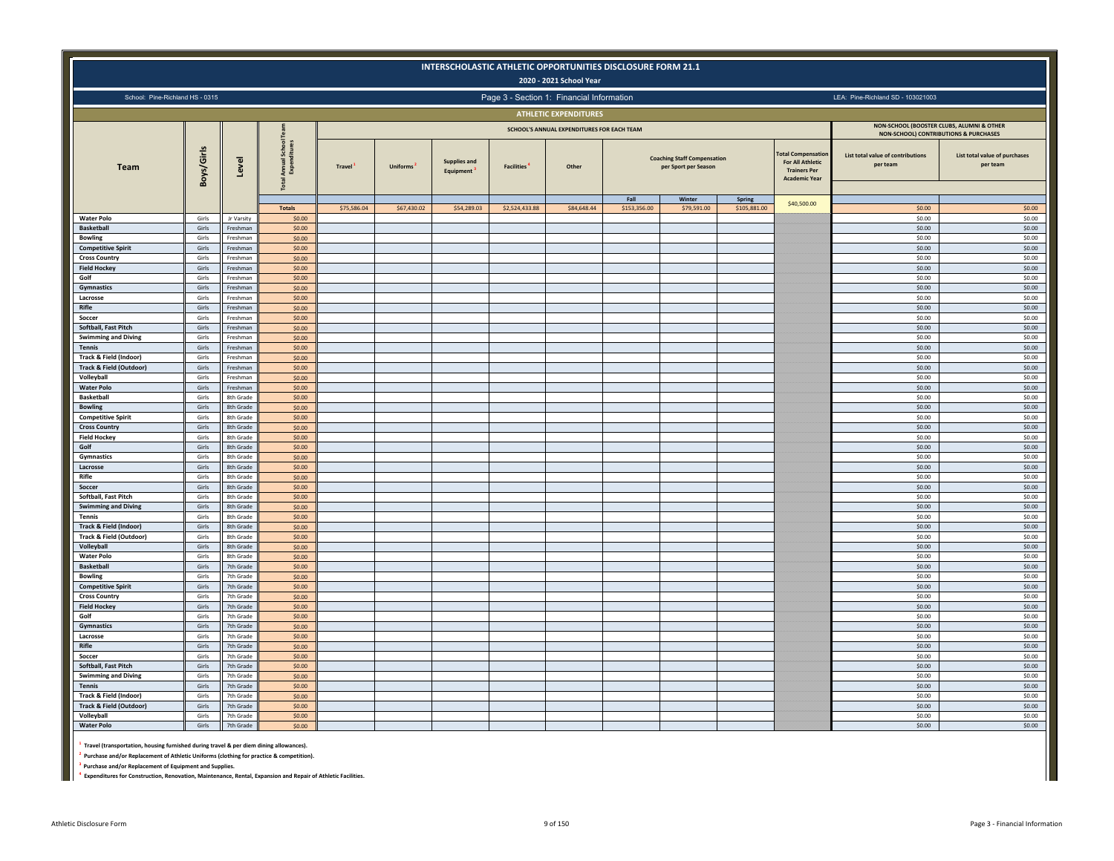|                                                              |                |                        |                                    |                     |                       | INTERSCHOLASTIC ATHLETIC OPPORTUNITIES DISCLOSURE FORM 21.1 |                   | 2020 - 2021 School Year                    |              |                                                                      |              |                                                                                               |                                                                                    |                                           |
|--------------------------------------------------------------|----------------|------------------------|------------------------------------|---------------------|-----------------------|-------------------------------------------------------------|-------------------|--------------------------------------------|--------------|----------------------------------------------------------------------|--------------|-----------------------------------------------------------------------------------------------|------------------------------------------------------------------------------------|-------------------------------------------|
| School: Pine-Richland HS - 0315                              |                |                        |                                    |                     |                       |                                                             |                   | Page 3 - Section 1: Financial Information  |              |                                                                      |              |                                                                                               | LEA: Pine-Richland SD - 103021003                                                  |                                           |
|                                                              |                |                        |                                    |                     |                       |                                                             |                   | <b>ATHLETIC EXPENDITURES</b>               |              |                                                                      |              |                                                                                               |                                                                                    |                                           |
|                                                              |                |                        |                                    |                     |                       |                                                             |                   | SCHOOL'S ANNUAL EXPENDITURES FOR EACH TEAM |              |                                                                      |              |                                                                                               | NON-SCHOOL (BOOSTER CLUBS, ALUMNI & OTHER<br>NON-SCHOOL) CONTRIBUTIONS & PURCHASES |                                           |
| Team                                                         | Boys/Girls     | Level                  | Annual School<br>Expenditures<br>ā | Travel <sup>1</sup> | Uniforms <sup>2</sup> | <b>Supplies and</b><br>Equipment                            | <b>Facilities</b> | Other                                      | Fall         | <b>Coaching Staff Compensation</b><br>per Sport per Season<br>Winter | Spring       | <b>Compensation</b><br><b>For All Athletic</b><br><b>Trainers Per</b><br><b>Academic Year</b> | List total value of contributions<br>per team                                      | List total value of purchases<br>per team |
|                                                              |                |                        | <b>Totals</b>                      | \$75,586.04         | \$67,430.02           | \$54,289.03                                                 | \$2,524,433.88    | \$84,648.44                                | \$153,356.00 | \$79,591.00                                                          | \$105,881.00 | \$40,500.00                                                                                   | \$0.00                                                                             | \$0.00                                    |
| <b>Water Polo</b><br><b>Basketball</b>                       | Girls<br>Girls | Jr Varsity<br>Freshman | \$0.00<br>\$0.00                   |                     |                       |                                                             |                   |                                            |              |                                                                      |              |                                                                                               | \$0.00<br>\$0.00                                                                   | \$0.00<br>\$0.00                          |
| <b>Bowling</b>                                               | Girls          | Freshman               | \$0.00                             |                     |                       |                                                             |                   |                                            |              |                                                                      |              |                                                                                               | \$0.00                                                                             | \$0.00                                    |
| <b>Competitive Spirit</b>                                    | Girls          | Freshman               | \$0.00                             |                     |                       |                                                             |                   |                                            |              |                                                                      |              |                                                                                               | \$0.00                                                                             | \$0.00                                    |
| <b>Cross Country</b>                                         | Girls          | Freshman               | \$0.00                             |                     |                       |                                                             |                   |                                            |              |                                                                      |              |                                                                                               | \$0.00                                                                             | \$0.00                                    |
| <b>Field Hockey</b><br>Golf                                  | Girls<br>Girls | Freshman<br>Freshman   | \$0.00<br>\$0.00                   |                     |                       |                                                             |                   |                                            |              |                                                                      |              |                                                                                               | \$0.00<br>\$0.00                                                                   | \$0.00<br>\$0.00                          |
| Gymnastics                                                   | Girls          | Freshman               | \$0.00                             |                     |                       |                                                             |                   |                                            |              |                                                                      |              |                                                                                               | \$0.00                                                                             | \$0.00                                    |
| Lacrosse                                                     | Girls          | Freshman               | \$0.00                             |                     |                       |                                                             |                   |                                            |              |                                                                      |              |                                                                                               | \$0.00                                                                             | \$0.00                                    |
| Rifle<br>Soccer                                              | Girls<br>Girls | Freshman<br>Freshman   | \$0.00<br>\$0.00                   |                     |                       |                                                             |                   |                                            |              |                                                                      |              |                                                                                               | \$0.00<br>\$0.00                                                                   | \$0.00<br>\$0.00                          |
| Softball, Fast Pitch                                         | Girls          | Freshman               | \$0.00                             |                     |                       |                                                             |                   |                                            |              |                                                                      |              |                                                                                               | \$0.00                                                                             | \$0.00                                    |
| <b>Swimming and Diving</b>                                   | Girls          | Freshman               | \$0.00                             |                     |                       |                                                             |                   |                                            |              |                                                                      |              |                                                                                               | \$0.00                                                                             | \$0.00                                    |
| <b>Tennis</b>                                                | Girls          | Freshman               | \$0.00                             |                     |                       |                                                             |                   |                                            |              |                                                                      |              |                                                                                               | \$0.00                                                                             | \$0.00                                    |
| Track & Field (Indoor)                                       | Girls          | Freshman<br>Freshman   | \$0.00                             |                     |                       |                                                             |                   |                                            |              |                                                                      |              |                                                                                               | \$0.00                                                                             | \$0.00                                    |
| <b>Track &amp; Field (Outdoor)</b><br>Volleyball             | Girls<br>Girls | Freshman               | \$0.00<br>\$0.00                   |                     |                       |                                                             |                   |                                            |              |                                                                      |              |                                                                                               | \$0.00<br>\$0.00                                                                   | \$0.00<br>\$0.00                          |
| <b>Water Polo</b>                                            | Girls          | Freshman               | \$0.00                             |                     |                       |                                                             |                   |                                            |              |                                                                      |              |                                                                                               | \$0.00                                                                             | \$0.00                                    |
| <b>Basketball</b>                                            | Girls          | 8th Grade              | \$0.00                             |                     |                       |                                                             |                   |                                            |              |                                                                      |              |                                                                                               | \$0.00                                                                             | \$0.00                                    |
| <b>Bowling</b><br><b>Competitive Spirit</b>                  | Girls<br>Girls | 8th Grade<br>8th Grade | \$0.00<br>\$0.00                   |                     |                       |                                                             |                   |                                            |              |                                                                      |              |                                                                                               | \$0.00<br>\$0.00                                                                   | \$0.00<br>\$0.00                          |
| <b>Cross Country</b>                                         | Girls          | 8th Grade              | \$0.00                             |                     |                       |                                                             |                   |                                            |              |                                                                      |              |                                                                                               | \$0.00                                                                             | \$0.00                                    |
| <b>Field Hockey</b>                                          | Girls          | 8th Grade              | \$0.00                             |                     |                       |                                                             |                   |                                            |              |                                                                      |              |                                                                                               | \$0.00                                                                             | \$0.00                                    |
| Golf                                                         | Girls          | 8th Grade              | \$0.00                             |                     |                       |                                                             |                   |                                            |              |                                                                      |              |                                                                                               | \$0.00                                                                             | \$0.00                                    |
| Gymnastics<br>Lacrosse                                       | Girls<br>Girls | 8th Grade<br>8th Grade | \$0.00<br>\$0.00                   |                     |                       |                                                             |                   |                                            |              |                                                                      |              |                                                                                               | \$0.00<br>\$0.00                                                                   | \$0.00<br>\$0.00                          |
| Rifle                                                        | Girls          | 8th Grade              | \$0.00                             |                     |                       |                                                             |                   |                                            |              |                                                                      |              |                                                                                               | \$0.00                                                                             | \$0.00                                    |
| Soccer                                                       | Girls          | 8th Grade              | \$0.00                             |                     |                       |                                                             |                   |                                            |              |                                                                      |              |                                                                                               | \$0.00                                                                             | \$0.00                                    |
| Softball, Fast Pitch                                         | Girls          | 8th Grade              | \$0.00                             |                     |                       |                                                             |                   |                                            |              |                                                                      |              |                                                                                               | \$0.00                                                                             | \$0.00                                    |
| <b>Swimming and Diving</b><br><b>Tennis</b>                  | Girls<br>Girls | 8th Grade<br>8th Grade | \$0.00<br>\$0.00                   |                     |                       |                                                             |                   |                                            |              |                                                                      |              |                                                                                               | \$0.00<br>\$0.00                                                                   | \$0.00<br>\$0.00                          |
| Track & Field (Indoor)                                       | Girls          | 8th Grade              | \$0.00                             |                     |                       |                                                             |                   |                                            |              |                                                                      |              |                                                                                               | \$0.00                                                                             | \$0.00                                    |
| <b>Track &amp; Field (Outdoor)</b>                           | Girls          | 8th Grade              | \$0.00                             |                     |                       |                                                             |                   |                                            |              |                                                                      |              |                                                                                               | \$0.00                                                                             | \$0.00                                    |
| Volleyball                                                   | Girls          | 8th Grade              | \$0.00                             |                     |                       |                                                             |                   |                                            |              |                                                                      |              |                                                                                               | \$0.00                                                                             | \$0.00                                    |
| <b>Water Polo</b><br><b>Basketball</b>                       | Girls<br>Girls | 8th Grade<br>7th Grade | \$0.00<br>\$0.00                   |                     |                       |                                                             |                   |                                            |              |                                                                      |              |                                                                                               | \$0.00<br>\$0.00                                                                   | \$0.00<br>\$0.00                          |
| <b>Bowling</b>                                               | Girls          | 7th Grade              | \$0.00                             |                     |                       |                                                             |                   |                                            |              |                                                                      |              |                                                                                               | \$0.00                                                                             | \$0.00                                    |
| <b>Competitive Spirit</b>                                    | Girls          | 7th Grade              | \$0.00                             |                     |                       |                                                             |                   |                                            |              |                                                                      |              |                                                                                               | \$0.00                                                                             | \$0.00                                    |
| <b>Cross Country</b>                                         | Girls          | 7th Grade              | \$0.00                             |                     |                       |                                                             |                   |                                            |              |                                                                      |              |                                                                                               | \$0.00                                                                             | \$0.00                                    |
| <b>Field Hockey</b><br>Golf                                  | Girls<br>Girls | 7th Grade<br>7th Grade | \$0.00<br>\$0.00                   |                     |                       |                                                             |                   |                                            |              |                                                                      |              |                                                                                               | \$0.00<br>\$0.00                                                                   | \$0.00<br>\$0.00                          |
| Gymnastics                                                   | Girls          | 7th Grade              | \$0.00                             |                     |                       |                                                             |                   |                                            |              |                                                                      |              |                                                                                               | \$0.00                                                                             | \$0.00                                    |
| Lacrosse                                                     | Girls          | 7th Grade              | \$0.00                             |                     |                       |                                                             |                   |                                            |              |                                                                      |              |                                                                                               | \$0.00                                                                             | \$0.00                                    |
| Rifle<br>Soccer                                              | Girls          | 7th Grade              | \$0.00                             |                     |                       |                                                             |                   |                                            |              |                                                                      |              |                                                                                               | \$0.00                                                                             | \$0.00                                    |
| Softball, Fast Pitch                                         | Girls<br>Girls | 7th Grade<br>7th Grade | \$0.00<br>\$0.00                   |                     |                       |                                                             |                   |                                            |              |                                                                      |              |                                                                                               | \$0.00<br>\$0.00                                                                   | \$0.00<br>\$0.00                          |
| <b>Swimming and Diving</b>                                   | Girls          | 7th Grade              | \$0.00                             |                     |                       |                                                             |                   |                                            |              |                                                                      |              |                                                                                               | \$0.00                                                                             | \$0.00                                    |
| <b>Tennis</b>                                                | Girls          | 7th Grade              | \$0.00                             |                     |                       |                                                             |                   |                                            |              |                                                                      |              |                                                                                               | \$0.00                                                                             | \$0.00                                    |
| Track & Field (Indoor)<br><b>Track &amp; Field (Outdoor)</b> | Girls          | 7th Grade<br>7th Grade | \$0.00                             |                     |                       |                                                             |                   |                                            |              |                                                                      |              |                                                                                               | \$0.00<br>\$0.00                                                                   | \$0.00<br>\$0.00                          |
| Volleyball                                                   | Girls<br>Girls | 7th Grade              | \$0.00<br>\$0.00                   |                     |                       |                                                             |                   |                                            |              |                                                                      |              |                                                                                               | \$0.00                                                                             | \$0.00                                    |
| <b>Water Polo</b>                                            | Girls          | 7th Grade              | \$0.00                             |                     |                       |                                                             |                   |                                            |              |                                                                      |              |                                                                                               | \$0.00                                                                             | \$0.00                                    |
|                                                              |                |                        |                                    |                     |                       |                                                             |                   |                                            |              |                                                                      |              |                                                                                               |                                                                                    |                                           |

**1 Travel (transportation, housing furnished during travel & per diem dining allowances).**

**2 Purchase and/or Replacement of Athletic Uniforms (clothing for practice & competition).**

**3 Purchase and/or Replacement of Equipment and Supplies.**

**4 Expenditures for Construction, Renovation, Maintenance, Rental, Expansion and Repair of Athletic Facilities.**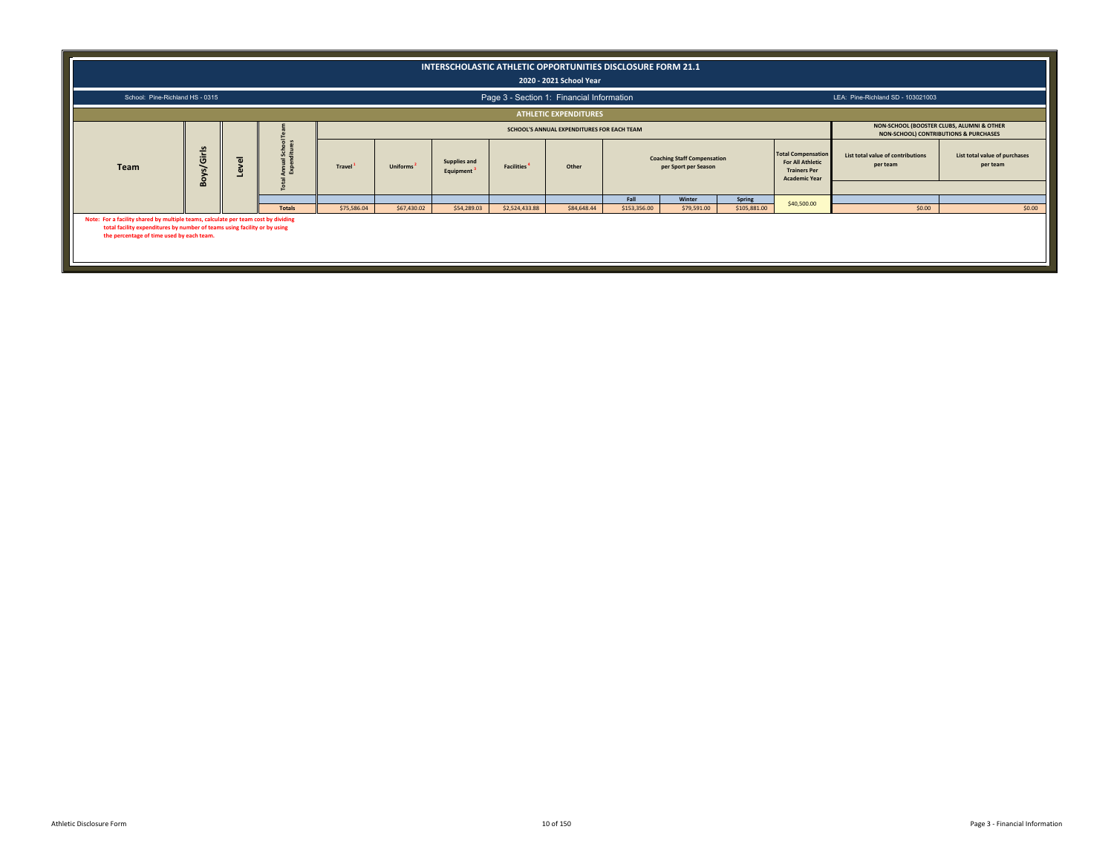|                                                                                                                                                                                                              |                                                                                                                                                                                                                                                                                                                                                                                       |  |               |             |             | INTERSCHOLASTIC ATHLETIC OPPORTUNITIES DISCLOSURE FORM 21.1 |                | 2020 - 2021 School Year                   |              |             |              |             |                                   |        |  |
|--------------------------------------------------------------------------------------------------------------------------------------------------------------------------------------------------------------|---------------------------------------------------------------------------------------------------------------------------------------------------------------------------------------------------------------------------------------------------------------------------------------------------------------------------------------------------------------------------------------|--|---------------|-------------|-------------|-------------------------------------------------------------|----------------|-------------------------------------------|--------------|-------------|--------------|-------------|-----------------------------------|--------|--|
| School: Pine-Richland HS - 0315                                                                                                                                                                              |                                                                                                                                                                                                                                                                                                                                                                                       |  |               |             |             |                                                             |                | Page 3 - Section 1: Financial Information |              |             |              |             | LEA: Pine-Richland SD - 103021003 |        |  |
|                                                                                                                                                                                                              |                                                                                                                                                                                                                                                                                                                                                                                       |  |               |             |             |                                                             |                | <b>ATHLETIC EXPENDITURES</b>              |              |             |              |             |                                   |        |  |
|                                                                                                                                                                                                              | NON-SCHOOL (BOOSTER CLUBS, ALUMNI & OTHER<br>SCHOOL'S ANNUAL EXPENDITURES FOR EACH TEAM<br>NON-SCHOOL) CONTRIBUTIONS & PURCHASES<br><b>Total Compensation</b><br><b>in</b>                                                                                                                                                                                                            |  |               |             |             |                                                             |                |                                           |              |             |              |             |                                   |        |  |
| <b>Team</b>                                                                                                                                                                                                  | Girls<br>List total value of contributions<br>List total value of purchases<br><b>Coaching Staff Compensation</b><br>$\overline{\omega}$<br>Supplies and<br><b>For All Athletic</b><br>per team<br>per team<br>Travel <sup>1</sup><br>Uniforms <sup>2</sup><br>Other<br>per Sport per Season<br><b>Facilities</b><br><b>Trainers Per</b><br>Equipment<br>Boy:<br><b>Academic Year</b> |  |               |             |             |                                                             |                |                                           |              |             |              |             |                                   |        |  |
|                                                                                                                                                                                                              |                                                                                                                                                                                                                                                                                                                                                                                       |  |               |             |             |                                                             |                |                                           | Fall         | Winter      | Spring       |             |                                   |        |  |
|                                                                                                                                                                                                              |                                                                                                                                                                                                                                                                                                                                                                                       |  | <b>Totals</b> | \$75,586.04 | \$67,430.02 | \$54,289.03                                                 | \$2,524,433.88 | \$84,648.44                               | \$153,356.00 | \$79,591.00 | \$105,881.00 | \$40,500.00 | \$0.00                            | \$0.00 |  |
| Note: For a facility shared by multiple teams, calculate per team cost by dividing<br>total facility expenditures by number of teams using facility or by using<br>the percentage of time used by each team. |                                                                                                                                                                                                                                                                                                                                                                                       |  |               |             |             |                                                             |                |                                           |              |             |              |             |                                   |        |  |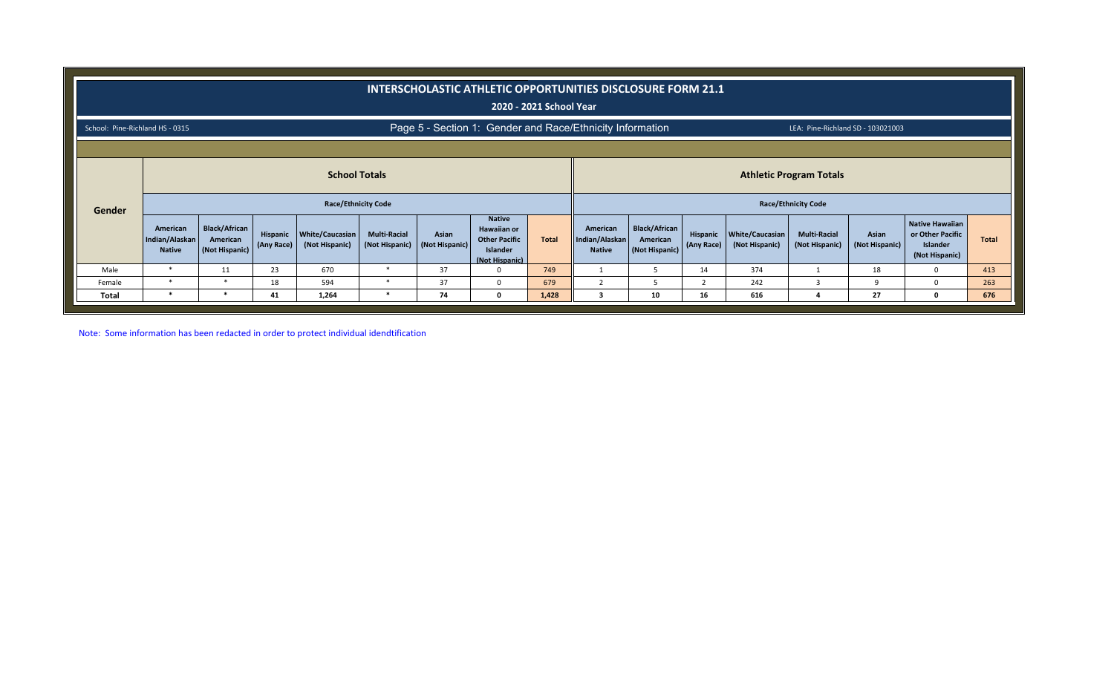|                                 |                                                                                                                    |                                                    |                        |                                   |                                       |                         | INTERSCHOLASTIC ATHLETIC OPPORTUNITIES DISCLOSURE FORM 21.1                               | 2020 - 2021 School Year |                                             |                                                    |                        |                                   |                                       |                         |                                                                          |              |
|---------------------------------|--------------------------------------------------------------------------------------------------------------------|----------------------------------------------------|------------------------|-----------------------------------|---------------------------------------|-------------------------|-------------------------------------------------------------------------------------------|-------------------------|---------------------------------------------|----------------------------------------------------|------------------------|-----------------------------------|---------------------------------------|-------------------------|--------------------------------------------------------------------------|--------------|
| School: Pine-Richland HS - 0315 |                                                                                                                    |                                                    |                        |                                   |                                       |                         | Page 5 - Section 1: Gender and Race/Ethnicity Information                                 |                         |                                             |                                                    |                        |                                   | LEA: Pine-Richland SD - 103021003     |                         |                                                                          |              |
|                                 | <b>School Totals</b><br><b>Athletic Program Totals</b><br><b>Race/Ethnicity Code</b><br><b>Race/Ethnicity Code</b> |                                                    |                        |                                   |                                       |                         |                                                                                           |                         |                                             |                                                    |                        |                                   |                                       |                         |                                                                          |              |
| Gender                          | American<br>Indian/Alaskan<br><b>Native</b>                                                                        | <b>Black/African</b><br>American<br>(Not Hispanic) | Hispanic<br>(Any Race) | White/Caucasian<br>(Not Hispanic) | <b>Multi-Racial</b><br>(Not Hispanic) | Asian<br>(Not Hispanic) | <b>Native</b><br><b>Hawaiian or</b><br><b>Other Pacific</b><br>Islander<br>(Not Hispanic) | <b>Total</b>            | American<br>Indian/Alaskan<br><b>Native</b> | <b>Black/African</b><br>American<br>(Not Hispanic) | Hispanic<br>(Any Race) | White/Caucasian<br>(Not Hispanic) | <b>Multi-Racial</b><br>(Not Hispanic) | Asian<br>(Not Hispanic) | Native Hawaiian<br>or Other Pacific<br><b>Islander</b><br>(Not Hispanic) | <b>Total</b> |
| Male                            | $\ast$                                                                                                             | 11                                                 | 23                     | 670                               | *                                     | 37                      |                                                                                           | 749                     |                                             | 5                                                  | 14                     | 374                               |                                       | 18                      | $\Omega$                                                                 | 413          |
| Female                          | $\ast$                                                                                                             | $\ast$                                             | 18                     | 594                               | $\ast$                                | 37                      | <sup>0</sup>                                                                              | 679                     |                                             |                                                    |                        | 242                               |                                       | q                       | $\Omega$                                                                 | 263          |
| <b>Total</b>                    | *                                                                                                                  | $\ast$                                             | 41                     | 1,264                             | *                                     | 74                      | $\Omega$                                                                                  | 1,428                   |                                             | 10                                                 | 16                     | 616                               |                                       | 27                      | $\mathbf{0}$                                                             | 676          |

Note: Some information has been redacted in order to protect individual idendtification